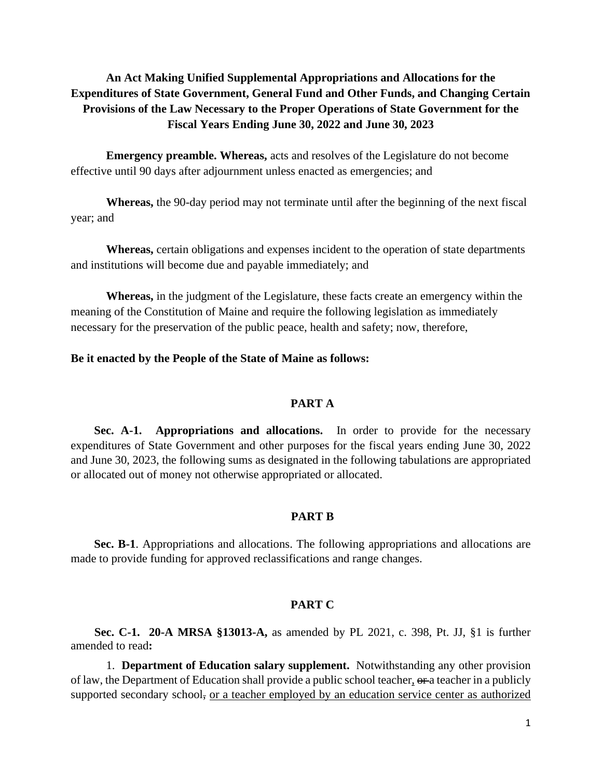# **An Act Making Unified Supplemental Appropriations and Allocations for the Expenditures of State Government, General Fund and Other Funds, and Changing Certain Provisions of the Law Necessary to the Proper Operations of State Government for the Fiscal Years Ending June 30, 2022 and June 30, 2023**

**Emergency preamble. Whereas,** acts and resolves of the Legislature do not become effective until 90 days after adjournment unless enacted as emergencies; and

**Whereas,** the 90-day period may not terminate until after the beginning of the next fiscal year; and

**Whereas,** certain obligations and expenses incident to the operation of state departments and institutions will become due and payable immediately; and

**Whereas,** in the judgment of the Legislature, these facts create an emergency within the meaning of the Constitution of Maine and require the following legislation as immediately necessary for the preservation of the public peace, health and safety; now, therefore,

### **Be it enacted by the People of the State of Maine as follows:**

#### **PART A**

**Sec. A-1. Appropriations and allocations.** In order to provide for the necessary expenditures of State Government and other purposes for the fiscal years ending June 30, 2022 and June 30, 2023, the following sums as designated in the following tabulations are appropriated or allocated out of money not otherwise appropriated or allocated.

### **PART B**

**Sec. B-1**. Appropriations and allocations. The following appropriations and allocations are made to provide funding for approved reclassifications and range changes.

### **PART C**

**Sec. C-1. 20-A MRSA §13013-A,** as amended by PL 2021, c. 398, Pt. JJ, §1 is further amended to read**:**

1. **Department of Education salary supplement.** Notwithstanding any other provision of law, the Department of Education shall provide a public school teacher,  $\theta$ r-a teacher in a publicly supported secondary school, <u>or a teacher employed by an education service center as authorized</u>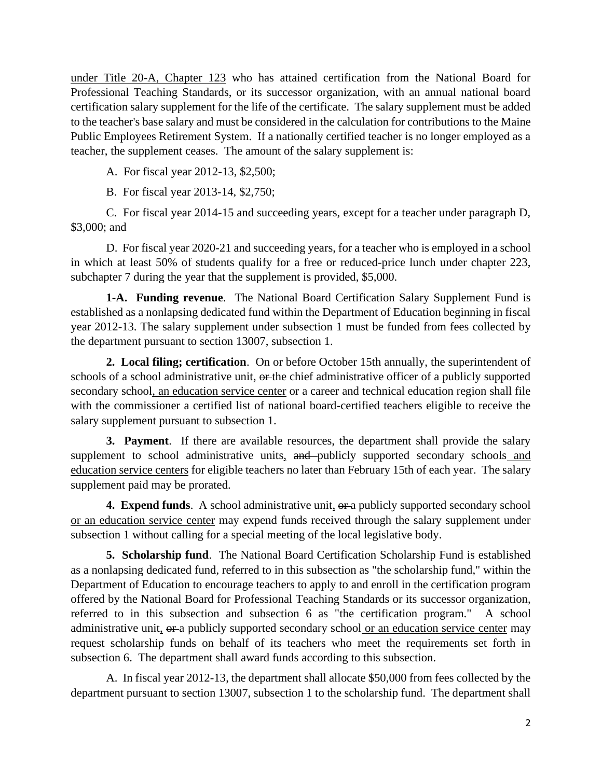under Title 20-A, Chapter 123 who has attained certification from the National Board for Professional Teaching Standards, or its successor organization, with an annual national board certification salary supplement for the life of the certificate. The salary supplement must be added to the teacher's base salary and must be considered in the calculation for contributions to the Maine Public Employees Retirement System. If a nationally certified teacher is no longer employed as a teacher, the supplement ceases. The amount of the salary supplement is:

A. For fiscal year 2012-13, \$2,500;

B. For fiscal year 2013-14, \$2,750;

C. For fiscal year 2014-15 and succeeding years, except for a teacher under paragraph D, \$3,000; and

D. For fiscal year 2020-21 and succeeding years, for a teacher who is employed in a school in which at least 50% of students qualify for a free or reduced-price lunch under chapter 223, subchapter 7 during the year that the supplement is provided, \$5,000.

**1-A. Funding revenue**. The National Board Certification Salary Supplement Fund is established as a nonlapsing dedicated fund within the Department of Education beginning in fiscal year 2012-13. The salary supplement under subsection 1 must be funded from fees collected by the department pursuant to section 13007, subsection 1.

**2. Local filing; certification**. On or before October 15th annually, the superintendent of schools of a school administrative unit, or the chief administrative officer of a publicly supported secondary school, an education service center or a career and technical education region shall file with the commissioner a certified list of national board-certified teachers eligible to receive the salary supplement pursuant to subsection 1.

**3. Payment**. If there are available resources, the department shall provide the salary supplement to school administrative units, and publicly supported secondary schools and education service centers for eligible teachers no later than February 15th of each year. The salary supplement paid may be prorated.

**4. Expend funds**. A school administrative unit, or a publicly supported secondary school or an education service center may expend funds received through the salary supplement under subsection 1 without calling for a special meeting of the local legislative body.

**5. Scholarship fund**. The National Board Certification Scholarship Fund is established as a nonlapsing dedicated fund, referred to in this subsection as "the scholarship fund," within the Department of Education to encourage teachers to apply to and enroll in the certification program offered by the National Board for Professional Teaching Standards or its successor organization, referred to in this subsection and subsection 6 as "the certification program." A school administrative unit,  $\theta$  a publicly supported secondary school or an education service center may request scholarship funds on behalf of its teachers who meet the requirements set forth in subsection 6. The department shall award funds according to this subsection.

A. In fiscal year 2012-13, the department shall allocate \$50,000 from fees collected by the department pursuant to section 13007, subsection 1 to the scholarship fund. The department shall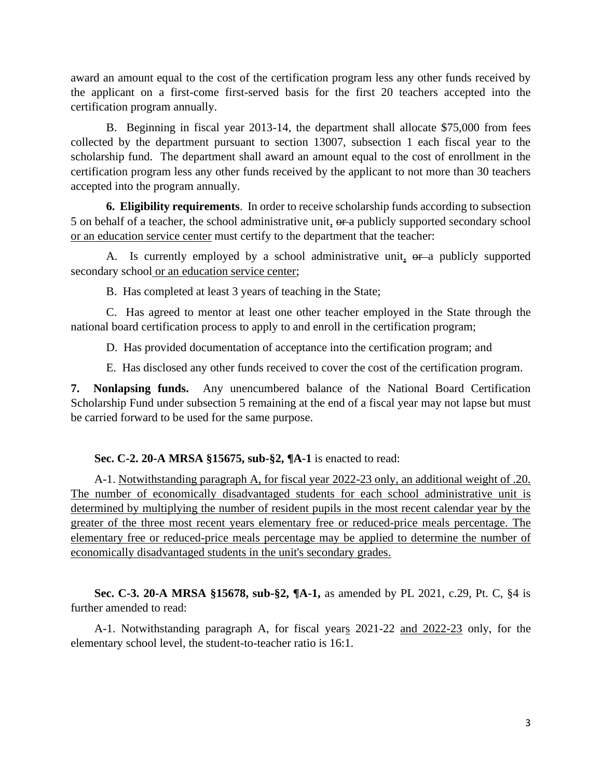award an amount equal to the cost of the certification program less any other funds received by the applicant on a first-come first-served basis for the first 20 teachers accepted into the certification program annually.

B. Beginning in fiscal year 2013-14, the department shall allocate \$75,000 from fees collected by the department pursuant to section 13007, subsection 1 each fiscal year to the scholarship fund. The department shall award an amount equal to the cost of enrollment in the certification program less any other funds received by the applicant to not more than 30 teachers accepted into the program annually.

**6. Eligibility requirements**. In order to receive scholarship funds according to subsection 5 on behalf of a teacher, the school administrative unit, or a publicly supported secondary school or an education service center must certify to the department that the teacher:

A. Is currently employed by a school administrative unit,  $\theta$  a publicly supported secondary school or an education service center;

B. Has completed at least 3 years of teaching in the State;

C. Has agreed to mentor at least one other teacher employed in the State through the national board certification process to apply to and enroll in the certification program;

D. Has provided documentation of acceptance into the certification program; and

E. Has disclosed any other funds received to cover the cost of the certification program.

**7. Nonlapsing funds.** Any unencumbered balance of the National Board Certification Scholarship Fund under subsection 5 remaining at the end of a fiscal year may not lapse but must be carried forward to be used for the same purpose.

## **Sec. C-2. 20-A MRSA §15675, sub-§2, ¶A-1** is enacted to read:

A-1. Notwithstanding paragraph A, for fiscal year 2022-23 only, an additional weight of .20. The number of economically disadvantaged students for each school administrative unit is determined by multiplying the number of resident pupils in the most recent calendar year by the greater of the three most recent years elementary free or reduced-price meals percentage. The elementary free or reduced-price meals percentage may be applied to determine the number of economically disadvantaged students in the unit's secondary grades.

**Sec. C-3. 20-A MRSA §15678, sub-§2, ¶A-1,** as amended by PL 2021, c.29, Pt. C, §4 is further amended to read:

A-1. Notwithstanding paragraph A, for fiscal years 2021-22 and 2022-23 only, for the elementary school level, the student-to-teacher ratio is 16:1.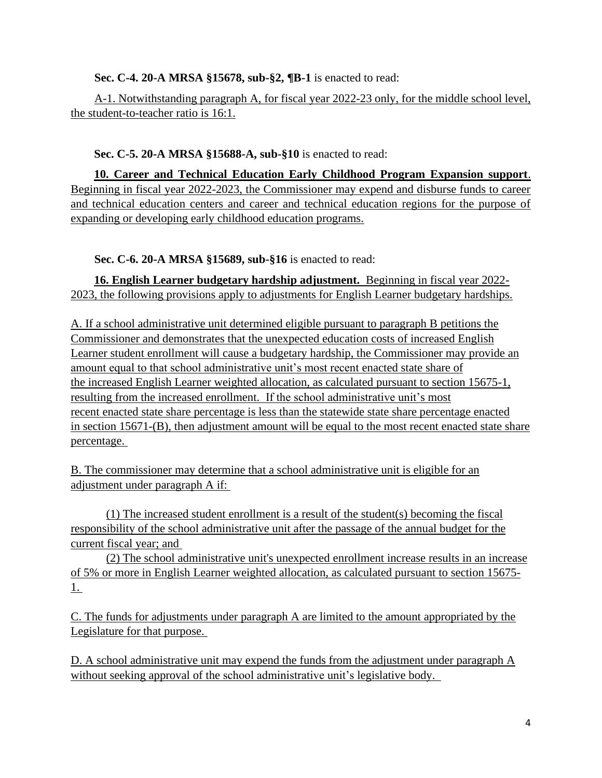# **Sec. C-4. 20-A MRSA §15678, sub-§2, ¶B-1** is enacted to read:

A-1. Notwithstanding paragraph A, for fiscal year 2022-23 only, for the middle school level, the student-to-teacher ratio is 16:1.

# **Sec. C-5. 20-A MRSA §15688-A, sub-§10** is enacted to read:

**10. Career and Technical Education Early Childhood Program Expansion support**. Beginning in fiscal year 2022-2023, the Commissioner may expend and disburse funds to career and technical education centers and career and technical education regions for the purpose of expanding or developing early childhood education programs.

# **Sec. C-6. 20-A MRSA §15689, sub-§16** is enacted to read:

**16. English Learner budgetary hardship adjustment.** Beginning in fiscal year 2022- 2023, the following provisions apply to adjustments for English Learner budgetary hardships.

A. If a school administrative unit determined eligible pursuant to paragraph B petitions the Commissioner and demonstrates that the unexpected education costs of increased English Learner student enrollment will cause a budgetary hardship, the Commissioner may provide an amount equal to that school administrative unit's most recent enacted state share of the increased English Learner weighted allocation, as calculated pursuant to section 15675-1, resulting from the increased enrollment. If the school administrative unit's most recent enacted state share percentage is less than the statewide state share percentage enacted in section 15671-(B), then adjustment amount will be equal to the most recent enacted state share percentage.

B. The commissioner may determine that a school administrative unit is eligible for an adjustment under paragraph A if:

(1) The increased student enrollment is a result of the student(s) becoming the fiscal responsibility of the school administrative unit after the passage of the annual budget for the current fiscal year; and

(2) The school administrative unit's unexpected enrollment increase results in an increase of 5% or more in English Learner weighted allocation, as calculated pursuant to section 15675- 1.

C. The funds for adjustments under paragraph A are limited to the amount appropriated by the Legislature for that purpose.

D. A school administrative unit may expend the funds from the adjustment under paragraph A without seeking approval of the school administrative unit's legislative body.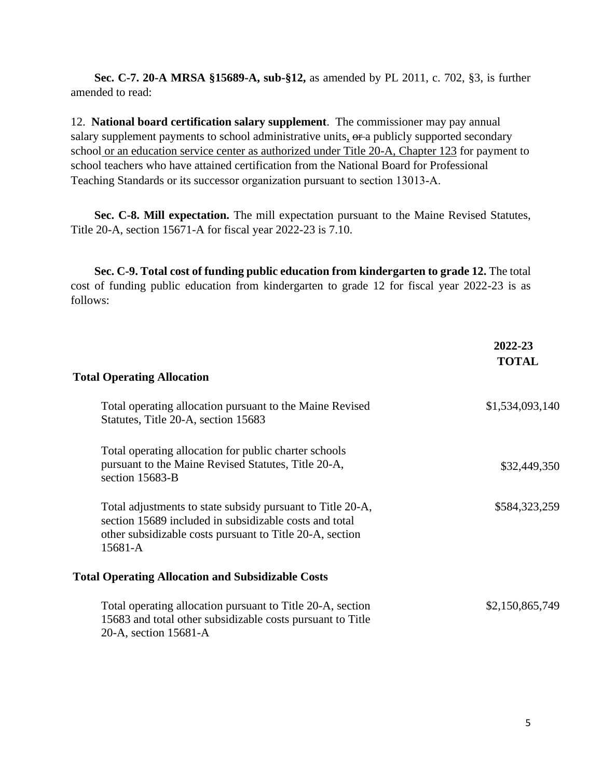**Sec. C-7. 20-A MRSA §15689-A, sub-§12,** as amended by PL 2011, c. 702, §3, is further amended to read:

12. **National board certification salary supplement**. The commissioner may pay annual salary supplement payments to school administrative units,  $\theta$ ra publicly supported secondary school or an education service center as authorized under Title 20-A, Chapter 123 for payment to school teachers who have attained certification from the National Board for Professional Teaching Standards or its successor organization pursuant to section 13013‑A.

**Sec. C-8. Mill expectation.** The mill expectation pursuant to the Maine Revised Statutes, Title 20-A, section 15671-A for fiscal year 2022-23 is 7.10.

**Sec. C-9. Total cost of funding public education from kindergarten to grade 12.** The total cost of funding public education from kindergarten to grade 12 for fiscal year 2022-23 is as follows:

|                                                                                                                                                                                             | 2022-23<br><b>TOTAL</b> |
|---------------------------------------------------------------------------------------------------------------------------------------------------------------------------------------------|-------------------------|
| <b>Total Operating Allocation</b>                                                                                                                                                           |                         |
| Total operating allocation pursuant to the Maine Revised<br>Statutes, Title 20-A, section 15683                                                                                             | \$1,534,093,140         |
| Total operating allocation for public charter schools<br>pursuant to the Maine Revised Statutes, Title 20-A,<br>section 15683-B                                                             | \$32,449,350            |
| Total adjustments to state subsidy pursuant to Title 20-A,<br>section 15689 included in subsidizable costs and total<br>other subsidizable costs pursuant to Title 20-A, section<br>15681-A | \$584,323,259           |
| <b>Total Operating Allocation and Subsidizable Costs</b>                                                                                                                                    |                         |
| Total operating allocation pursuant to Title 20-A, section<br>15683 and total other subsidizable costs pursuant to Title<br>20-A, section 15681-A                                           | \$2,150,865,749         |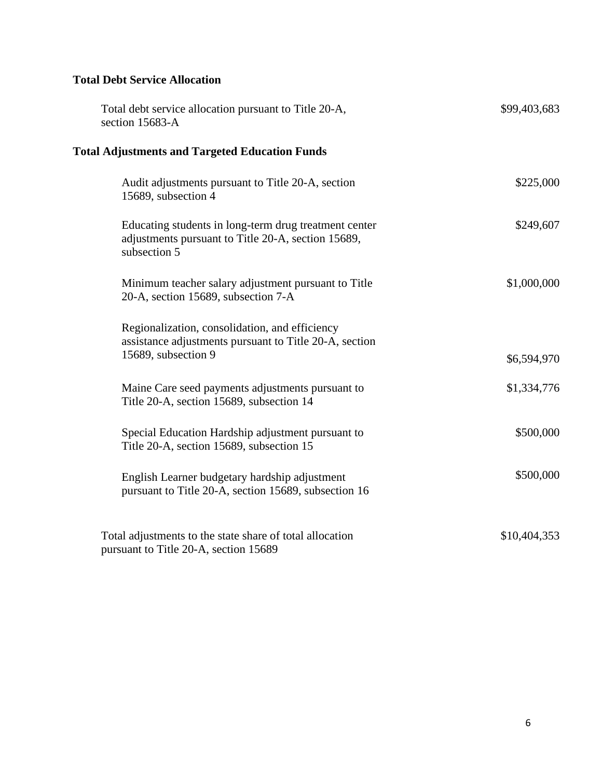# **Total Debt Service Allocation**

| Total debt service allocation pursuant to Title 20-A,<br>section 15683-A                                                        | \$99,403,683 |
|---------------------------------------------------------------------------------------------------------------------------------|--------------|
| <b>Total Adjustments and Targeted Education Funds</b>                                                                           |              |
| Audit adjustments pursuant to Title 20-A, section<br>15689, subsection 4                                                        | \$225,000    |
| Educating students in long-term drug treatment center<br>adjustments pursuant to Title 20-A, section 15689,<br>subsection 5     | \$249,607    |
| Minimum teacher salary adjustment pursuant to Title<br>20-A, section 15689, subsection 7-A                                      | \$1,000,000  |
| Regionalization, consolidation, and efficiency<br>assistance adjustments pursuant to Title 20-A, section<br>15689, subsection 9 | \$6,594,970  |
| Maine Care seed payments adjustments pursuant to<br>Title 20-A, section 15689, subsection 14                                    | \$1,334,776  |
| Special Education Hardship adjustment pursuant to<br>Title 20-A, section 15689, subsection 15                                   | \$500,000    |
| English Learner budgetary hardship adjustment<br>pursuant to Title 20-A, section 15689, subsection 16                           | \$500,000    |
| Total adjustments to the state share of total allocation<br>pursuant to Title 20-A, section 15689                               | \$10,404,353 |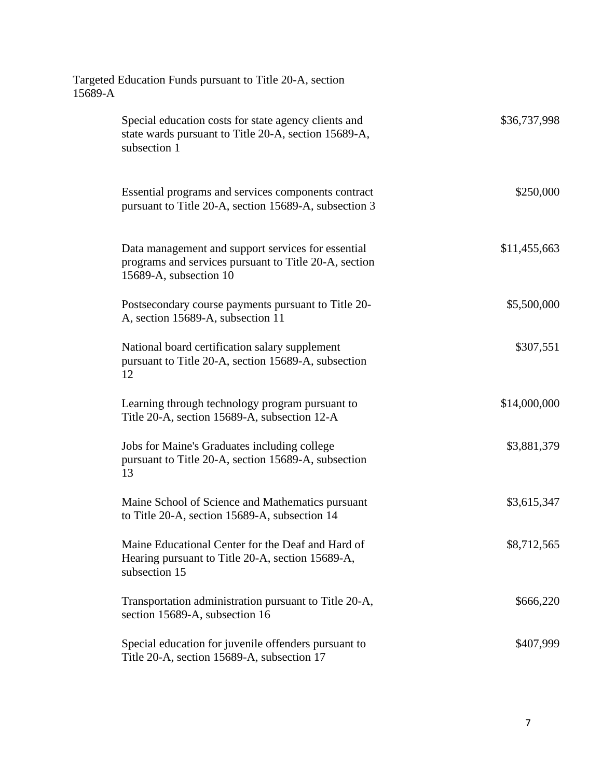| Targeted Education Funds pursuant to Title 20-A, section<br>15689-A                                                                   |              |
|---------------------------------------------------------------------------------------------------------------------------------------|--------------|
| Special education costs for state agency clients and<br>state wards pursuant to Title 20-A, section 15689-A,<br>subsection 1          | \$36,737,998 |
| Essential programs and services components contract<br>pursuant to Title 20-A, section 15689-A, subsection 3                          | \$250,000    |
| Data management and support services for essential<br>programs and services pursuant to Title 20-A, section<br>15689-A, subsection 10 | \$11,455,663 |
| Postsecondary course payments pursuant to Title 20-<br>A, section 15689-A, subsection 11                                              | \$5,500,000  |
| National board certification salary supplement<br>pursuant to Title 20-A, section 15689-A, subsection<br>12                           | \$307,551    |
| Learning through technology program pursuant to<br>Title 20-A, section 15689-A, subsection 12-A                                       | \$14,000,000 |
| Jobs for Maine's Graduates including college<br>pursuant to Title 20-A, section 15689-A, subsection<br>13                             | \$3,881,379  |
| Maine School of Science and Mathematics pursuant<br>to Title 20-A, section 15689-A, subsection 14                                     | \$3,615,347  |
| Maine Educational Center for the Deaf and Hard of<br>Hearing pursuant to Title 20-A, section 15689-A,<br>subsection 15                | \$8,712,565  |
| Transportation administration pursuant to Title 20-A,<br>section 15689-A, subsection 16                                               | \$666,220    |
| Special education for juvenile offenders pursuant to<br>Title 20-A, section 15689-A, subsection 17                                    | \$407,999    |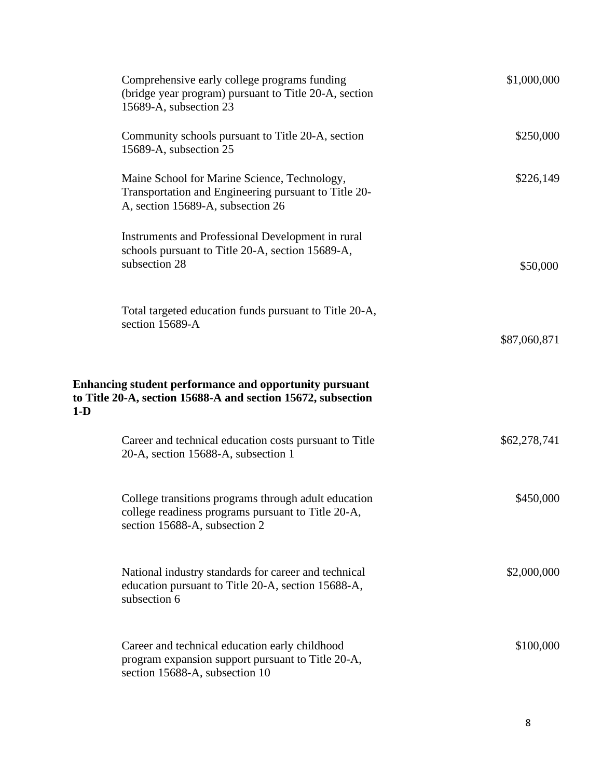| Comprehensive early college programs funding<br>(bridge year program) pursuant to Title 20-A, section<br>15689-A, subsection 23             | \$1,000,000  |
|---------------------------------------------------------------------------------------------------------------------------------------------|--------------|
| Community schools pursuant to Title 20-A, section<br>15689-A, subsection 25                                                                 | \$250,000    |
| Maine School for Marine Science, Technology,<br>Transportation and Engineering pursuant to Title 20-<br>A, section 15689-A, subsection 26   | \$226,149    |
| Instruments and Professional Development in rural<br>schools pursuant to Title 20-A, section 15689-A,<br>subsection 28                      | \$50,000     |
| Total targeted education funds pursuant to Title 20-A,<br>section 15689-A                                                                   | \$87,060,871 |
| Enhancing student performance and opportunity pursuant<br>to Title 20-A, section 15688-A and section 15672, subsection<br>$1-D$             |              |
| Career and technical education costs pursuant to Title<br>20-A, section 15688-A, subsection 1                                               | \$62,278,741 |
| College transitions programs through adult education<br>college readiness programs pursuant to Title 20-A,<br>section 15688-A, subsection 2 | \$450,000    |
| National industry standards for career and technical<br>education pursuant to Title 20-A, section 15688-A,<br>subsection 6                  | \$2,000,000  |
| Career and technical education early childhood<br>program expansion support pursuant to Title 20-A,<br>section 15688-A, subsection 10       | \$100,000    |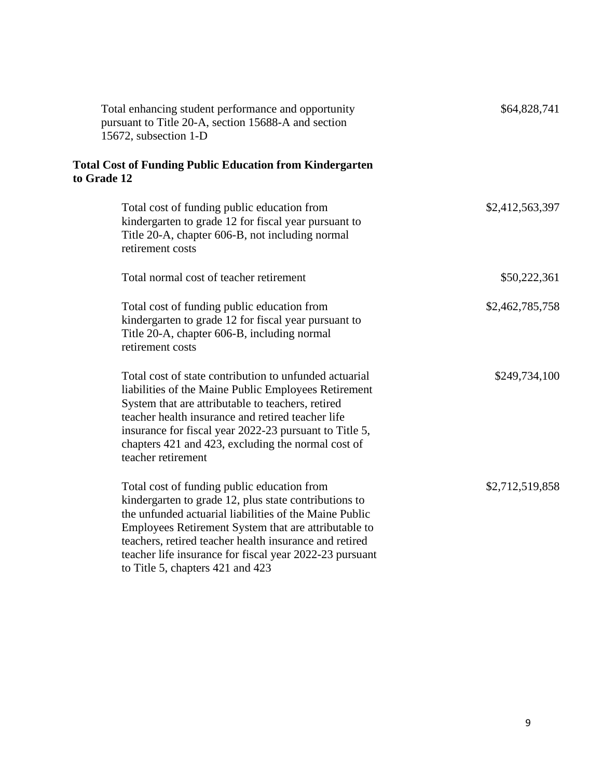| Total enhancing student performance and opportunity<br>pursuant to Title 20-A, section 15688-A and section<br>15672, subsection 1-D                                                                                                                                                                                                                                             | \$64,828,741    |
|---------------------------------------------------------------------------------------------------------------------------------------------------------------------------------------------------------------------------------------------------------------------------------------------------------------------------------------------------------------------------------|-----------------|
| <b>Total Cost of Funding Public Education from Kindergarten</b><br>to Grade 12                                                                                                                                                                                                                                                                                                  |                 |
| Total cost of funding public education from<br>kindergarten to grade 12 for fiscal year pursuant to<br>Title 20-A, chapter 606-B, not including normal<br>retirement costs                                                                                                                                                                                                      | \$2,412,563,397 |
| Total normal cost of teacher retirement                                                                                                                                                                                                                                                                                                                                         | \$50,222,361    |
| Total cost of funding public education from<br>kindergarten to grade 12 for fiscal year pursuant to<br>Title 20-A, chapter 606-B, including normal<br>retirement costs                                                                                                                                                                                                          | \$2,462,785,758 |
| Total cost of state contribution to unfunded actuarial<br>liabilities of the Maine Public Employees Retirement<br>System that are attributable to teachers, retired<br>teacher health insurance and retired teacher life<br>insurance for fiscal year 2022-23 pursuant to Title 5,<br>chapters 421 and 423, excluding the normal cost of<br>teacher retirement                  | \$249,734,100   |
| Total cost of funding public education from<br>kindergarten to grade 12, plus state contributions to<br>the unfunded actuarial liabilities of the Maine Public<br>Employees Retirement System that are attributable to<br>teachers, retired teacher health insurance and retired<br>teacher life insurance for fiscal year 2022-23 pursuant<br>to Title 5, chapters 421 and 423 | \$2,712,519,858 |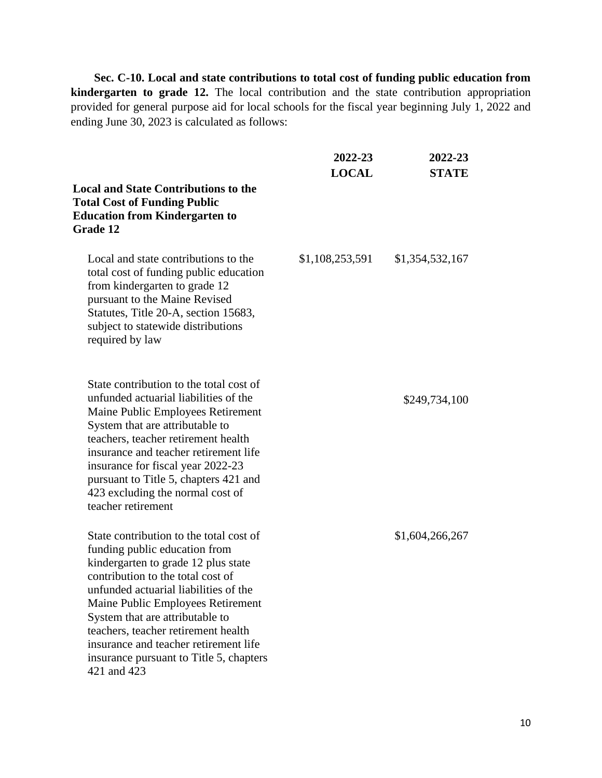**Sec. C-10. Local and state contributions to total cost of funding public education from kindergarten to grade 12.** The local contribution and the state contribution appropriation provided for general purpose aid for local schools for the fiscal year beginning July 1, 2022 and ending June 30, 2023 is calculated as follows:

|                                                                                                                                                                                                                                                                                                                                                                                                                 | 2022-23<br><b>LOCAL</b> | 2022-23<br><b>STATE</b> |
|-----------------------------------------------------------------------------------------------------------------------------------------------------------------------------------------------------------------------------------------------------------------------------------------------------------------------------------------------------------------------------------------------------------------|-------------------------|-------------------------|
| <b>Local and State Contributions to the</b><br><b>Total Cost of Funding Public</b><br><b>Education from Kindergarten to</b><br><b>Grade 12</b>                                                                                                                                                                                                                                                                  |                         |                         |
| Local and state contributions to the<br>total cost of funding public education<br>from kindergarten to grade 12<br>pursuant to the Maine Revised<br>Statutes, Title 20-A, section 15683,<br>subject to statewide distributions<br>required by law                                                                                                                                                               | \$1,108,253,591         | \$1,354,532,167         |
| State contribution to the total cost of<br>unfunded actuarial liabilities of the<br>Maine Public Employees Retirement<br>System that are attributable to<br>teachers, teacher retirement health<br>insurance and teacher retirement life<br>insurance for fiscal year 2022-23<br>pursuant to Title 5, chapters 421 and<br>423 excluding the normal cost of<br>teacher retirement                                |                         | \$249,734,100           |
| State contribution to the total cost of<br>funding public education from<br>kindergarten to grade 12 plus state<br>contribution to the total cost of<br>unfunded actuarial liabilities of the<br>Maine Public Employees Retirement<br>System that are attributable to<br>teachers, teacher retirement health<br>insurance and teacher retirement life<br>insurance pursuant to Title 5, chapters<br>421 and 423 |                         | \$1,604,266,267         |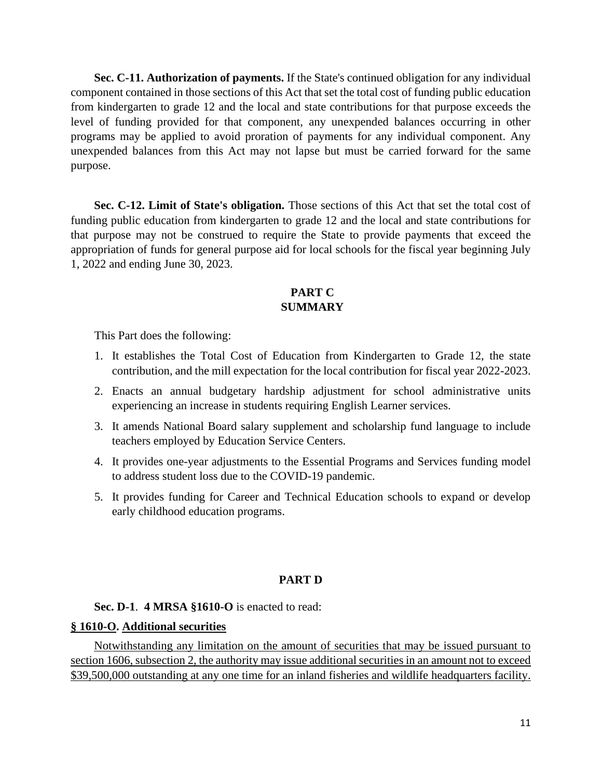**Sec. C-11. Authorization of payments.** If the State's continued obligation for any individual component contained in those sections of this Act that set the total cost of funding public education from kindergarten to grade 12 and the local and state contributions for that purpose exceeds the level of funding provided for that component, any unexpended balances occurring in other programs may be applied to avoid proration of payments for any individual component. Any unexpended balances from this Act may not lapse but must be carried forward for the same purpose.

Sec. C-12. Limit of State's obligation. Those sections of this Act that set the total cost of funding public education from kindergarten to grade 12 and the local and state contributions for that purpose may not be construed to require the State to provide payments that exceed the appropriation of funds for general purpose aid for local schools for the fiscal year beginning July 1, 2022 and ending June 30, 2023.

# **PART C SUMMARY**

This Part does the following:

- 1. It establishes the Total Cost of Education from Kindergarten to Grade 12, the state contribution, and the mill expectation for the local contribution for fiscal year 2022-2023.
- 2. Enacts an annual budgetary hardship adjustment for school administrative units experiencing an increase in students requiring English Learner services.
- 3. It amends National Board salary supplement and scholarship fund language to include teachers employed by Education Service Centers.
- 4. It provides one-year adjustments to the Essential Programs and Services funding model to address student loss due to the COVID-19 pandemic.
- 5. It provides funding for Career and Technical Education schools to expand or develop early childhood education programs.

# **PART D**

## **Sec. D-1**. **4 MRSA §1610-O** is enacted to read:

### **§ 1610-O. Additional securities**

Notwithstanding any limitation on the amount of securities that may be issued pursuant to section 1606, subsection 2, the authority may issue additional securities in an amount not to exceed \$39,500,000 outstanding at any one time for an inland fisheries and wildlife headquarters facility.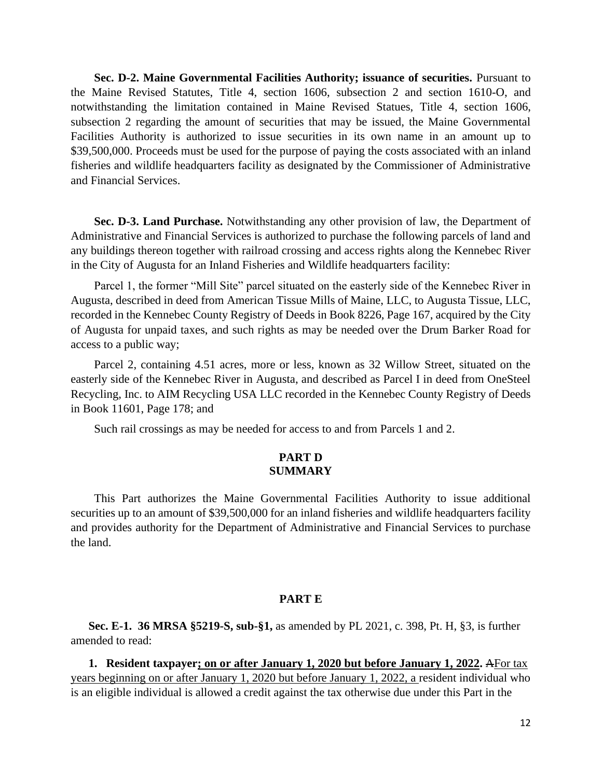**Sec. D-2. Maine Governmental Facilities Authority; issuance of securities.** Pursuant to the Maine Revised Statutes, Title 4, section 1606, subsection 2 and section 1610-O, and notwithstanding the limitation contained in Maine Revised Statues, Title 4, section 1606, subsection 2 regarding the amount of securities that may be issued, the Maine Governmental Facilities Authority is authorized to issue securities in its own name in an amount up to \$39,500,000. Proceeds must be used for the purpose of paying the costs associated with an inland fisheries and wildlife headquarters facility as designated by the Commissioner of Administrative and Financial Services.

**Sec. D-3. Land Purchase.** Notwithstanding any other provision of law, the Department of Administrative and Financial Services is authorized to purchase the following parcels of land and any buildings thereon together with railroad crossing and access rights along the Kennebec River in the City of Augusta for an Inland Fisheries and Wildlife headquarters facility:

Parcel 1, the former "Mill Site" parcel situated on the easterly side of the Kennebec River in Augusta, described in deed from American Tissue Mills of Maine, LLC, to Augusta Tissue, LLC, recorded in the Kennebec County Registry of Deeds in Book 8226, Page 167, acquired by the City of Augusta for unpaid taxes, and such rights as may be needed over the Drum Barker Road for access to a public way;

Parcel 2, containing 4.51 acres, more or less, known as 32 Willow Street, situated on the easterly side of the Kennebec River in Augusta, and described as Parcel I in deed from OneSteel Recycling, Inc. to AIM Recycling USA LLC recorded in the Kennebec County Registry of Deeds in Book 11601, Page 178; and

Such rail crossings as may be needed for access to and from Parcels 1 and 2.

## **PART D SUMMARY**

This Part authorizes the Maine Governmental Facilities Authority to issue additional securities up to an amount of \$39,500,000 for an inland fisheries and wildlife headquarters facility and provides authority for the Department of Administrative and Financial Services to purchase the land.

### **PART E**

**Sec. E-1. 36 MRSA §5219-S, sub-§1,** as amended by PL 2021, c. 398, Pt. H, §3, is further amended to read:

**1. Resident taxpayer; on or after January 1, 2020 but before January 1, 2022.** AFor tax years beginning on or after January 1, 2020 but before January 1, 2022, a resident individual who is an eligible individual is allowed a credit against the tax otherwise due under this Part in the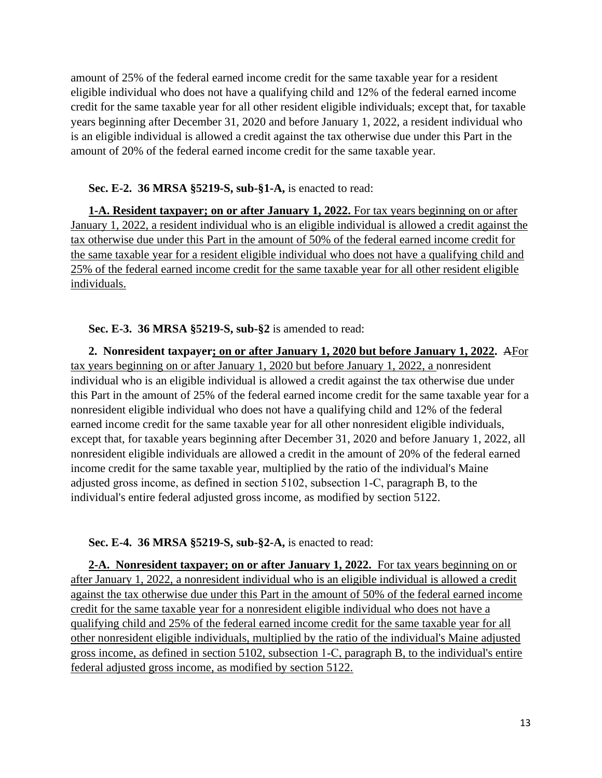amount of 25% of the federal earned income credit for the same taxable year for a resident eligible individual who does not have a qualifying child and 12% of the federal earned income credit for the same taxable year for all other resident eligible individuals; except that, for taxable years beginning after December 31, 2020 and before January 1, 2022, a resident individual who is an eligible individual is allowed a credit against the tax otherwise due under this Part in the amount of 20% of the federal earned income credit for the same taxable year.

## **Sec. E-2. 36 MRSA §5219-S, sub-§1-A,** is enacted to read:

**1-A. Resident taxpayer; on or after January 1, 2022.** For tax years beginning on or after January 1, 2022, a resident individual who is an eligible individual is allowed a credit against the tax otherwise due under this Part in the amount of 50% of the federal earned income credit for the same taxable year for a resident eligible individual who does not have a qualifying child and 25% of the federal earned income credit for the same taxable year for all other resident eligible individuals.

## **Sec. E-3. 36 MRSA §5219-S, sub-§2** is amended to read:

**2. Nonresident taxpayer; on or after January 1, 2020 but before January 1, 2022.** AFor tax years beginning on or after January 1, 2020 but before January 1, 2022, a nonresident individual who is an eligible individual is allowed a credit against the tax otherwise due under this Part in the amount of 25% of the federal earned income credit for the same taxable year for a nonresident eligible individual who does not have a qualifying child and 12% of the federal earned income credit for the same taxable year for all other nonresident eligible individuals, except that, for taxable years beginning after December 31, 2020 and before January 1, 2022, all nonresident eligible individuals are allowed a credit in the amount of 20% of the federal earned income credit for the same taxable year, multiplied by the ratio of the individual's Maine adjusted gross income, as defined in section 5102, subsection 1‑C, paragraph B, to the individual's entire federal adjusted gross income, as modified by section 5122.

## **Sec. E-4. 36 MRSA §5219-S, sub-§2-A,** is enacted to read:

**2-A. Nonresident taxpayer; on or after January 1, 2022.** For tax years beginning on or after January 1, 2022, a nonresident individual who is an eligible individual is allowed a credit against the tax otherwise due under this Part in the amount of 50% of the federal earned income credit for the same taxable year for a nonresident eligible individual who does not have a qualifying child and 25% of the federal earned income credit for the same taxable year for all other nonresident eligible individuals, multiplied by the ratio of the individual's Maine adjusted gross income, as defined in section 5102, subsection 1‑C, paragraph B, to the individual's entire federal adjusted gross income, as modified by section 5122.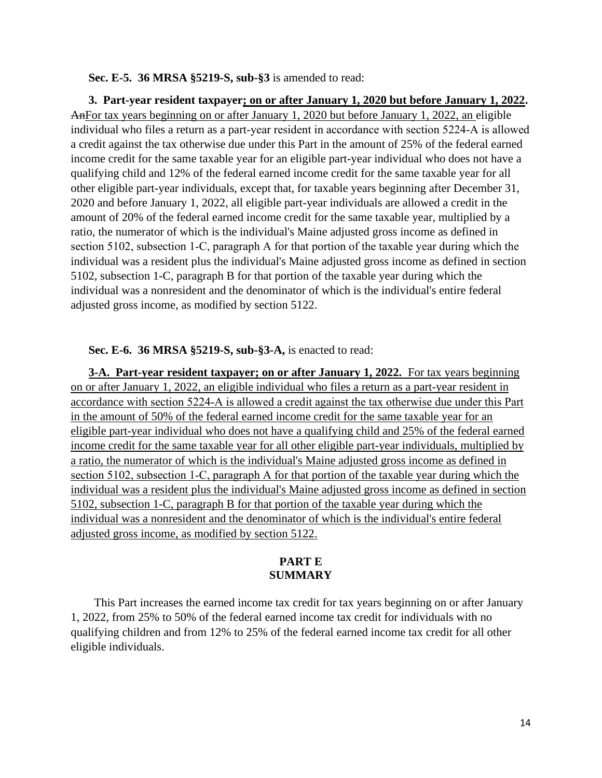#### **Sec. E-5. 36 MRSA §5219-S, sub-§3** is amended to read:

**3. Part-year resident taxpayer; on or after January 1, 2020 but before January 1, 2022.**  AnFor tax years beginning on or after January 1, 2020 but before January 1, 2022, an eligible individual who files a return as a part-year resident in accordance with section 5224‑A is allowed a credit against the tax otherwise due under this Part in the amount of 25% of the federal earned income credit for the same taxable year for an eligible part-year individual who does not have a qualifying child and 12% of the federal earned income credit for the same taxable year for all other eligible part-year individuals, except that, for taxable years beginning after December 31, 2020 and before January 1, 2022, all eligible part-year individuals are allowed a credit in the amount of 20% of the federal earned income credit for the same taxable year, multiplied by a ratio, the numerator of which is the individual's Maine adjusted gross income as defined in section 5102, subsection 1–C, paragraph A for that portion of the taxable year during which the individual was a resident plus the individual's Maine adjusted gross income as defined in section 5102, subsection 1-C, paragraph B for that portion of the taxable year during which the individual was a nonresident and the denominator of which is the individual's entire federal adjusted gross income, as modified by section 5122.

### **Sec. E-6. 36 MRSA §5219-S, sub-§3-A,** is enacted to read:

**3-A. Part-year resident taxpayer; on or after January 1, 2022.** For tax years beginning on or after January 1, 2022, an eligible individual who files a return as a part-year resident in accordance with section 5224‑A is allowed a credit against the tax otherwise due under this Part in the amount of 50% of the federal earned income credit for the same taxable year for an eligible part-year individual who does not have a qualifying child and 25% of the federal earned income credit for the same taxable year for all other eligible part-year individuals, multiplied by a ratio, the numerator of which is the individual's Maine adjusted gross income as defined in section 5102, subsection 1–C, paragraph A for that portion of the taxable year during which the individual was a resident plus the individual's Maine adjusted gross income as defined in section 5102, subsection 1-C, paragraph B for that portion of the taxable year during which the individual was a nonresident and the denominator of which is the individual's entire federal adjusted gross income, as modified by section 5122.

## **PART E SUMMARY**

This Part increases the earned income tax credit for tax years beginning on or after January 1, 2022, from 25% to 50% of the federal earned income tax credit for individuals with no qualifying children and from 12% to 25% of the federal earned income tax credit for all other eligible individuals.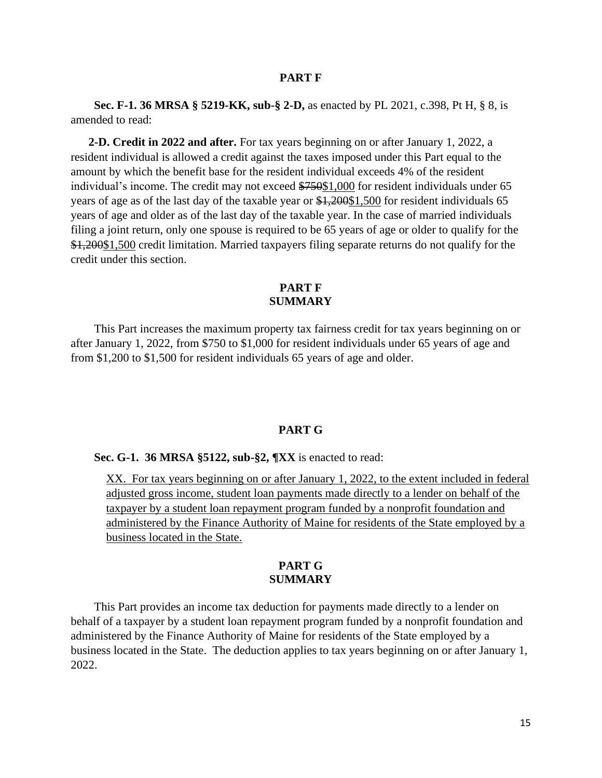### **PART F**

**Sec. F-1. 36 MRSA § 5219-KK, sub-§ 2-D,** as enacted by PL 2021, c.398, Pt H, § 8, is amended to read:

**2-D. Credit in 2022 and after.** For tax years beginning on or after January 1, 2022, a resident individual is allowed a credit against the taxes imposed under this Part equal to the amount by which the benefit base for the resident individual exceeds 4% of the resident individual's income. The credit may not exceed \$750\$1,000 for resident individuals under 65 years of age as of the last day of the taxable year or \$1,200\$1,500 for resident individuals 65 years of age and older as of the last day of the taxable year. In the case of married individuals filing a joint return, only one spouse is required to be 65 years of age or older to qualify for the \$1,200\$1,500 credit limitation. Married taxpayers filing separate returns do not qualify for the credit under this section.

## **PART F SUMMARY**

This Part increases the maximum property tax fairness credit for tax years beginning on or after January 1, 2022, from \$750 to \$1,000 for resident individuals under 65 years of age and from \$1,200 to \$1,500 for resident individuals 65 years of age and older.

### **PART G**

### **Sec. G-1. 36 MRSA §5122, sub-§2, ¶XX** is enacted to read:

XX. For tax years beginning on or after January 1, 2022, to the extent included in federal adjusted gross income, student loan payments made directly to a lender on behalf of the taxpayer by a student loan repayment program funded by a nonprofit foundation and administered by the Finance Authority of Maine for residents of the State employed by a business located in the State.

#### **PART G SUMMARY**

This Part provides an income tax deduction for payments made directly to a lender on behalf of a taxpayer by a student loan repayment program funded by a nonprofit foundation and administered by the Finance Authority of Maine for residents of the State employed by a business located in the State. The deduction applies to tax years beginning on or after January 1, 2022.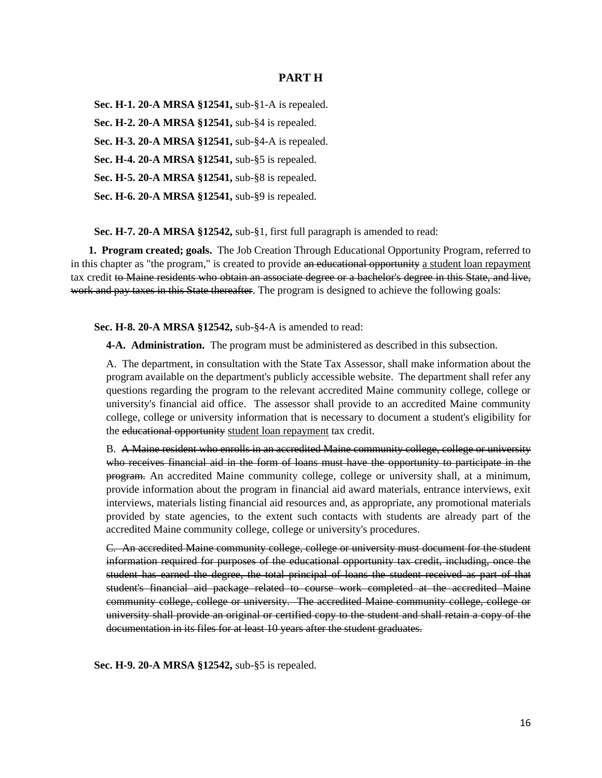### **PART H**

**Sec. H-1. 20-A MRSA §12541,** sub-§1-A is repealed. **Sec. H-2. 20-A MRSA §12541,** sub-§4 is repealed. **Sec. H-3. 20-A MRSA §12541,** sub-§4-A is repealed. **Sec. H-4. 20-A MRSA §12541,** sub-§5 is repealed. **Sec. H-5. 20-A MRSA §12541,** sub-§8 is repealed. **Sec. H-6. 20-A MRSA §12541,** sub-§9 is repealed.

**Sec. H-7. 20-A MRSA §12542,** sub-§1, first full paragraph is amended to read:

**1. Program created; goals.** The Job Creation Through Educational Opportunity Program, referred to in this chapter as "the program," is created to provide an educational opportunity a student loan repayment tax credit to Maine residents who obtain an associate degree or a bachelor's degree in this State, and live, work and pay taxes in this State thereafter. The program is designed to achieve the following goals:

**Sec. H-8. 20-A MRSA §12542,** sub-§4-A is amended to read:

**4-A. Administration.** The program must be administered as described in this subsection.

A. The department, in consultation with the State Tax Assessor, shall make information about the program available on the department's publicly accessible website. The department shall refer any questions regarding the program to the relevant accredited Maine community college, college or university's financial aid office. The assessor shall provide to an accredited Maine community college, college or university information that is necessary to document a student's eligibility for the educational opportunity student loan repayment tax credit.

B. A Maine resident who enrolls in an accredited Maine community college, college or university who receives financial aid in the form of loans must have the opportunity to participate in the program. An accredited Maine community college, college or university shall, at a minimum, provide information about the program in financial aid award materials, entrance interviews, exit interviews, materials listing financial aid resources and, as appropriate, any promotional materials provided by state agencies, to the extent such contacts with students are already part of the accredited Maine community college, college or university's procedures.

C. An accredited Maine community college, college or university must document for the student information required for purposes of the educational opportunity tax credit, including, once the student has earned the degree, the total principal of loans the student received as part of that student's financial aid package related to course work completed at the accredited Maine community college, college or university. The accredited Maine community college, college or university shall provide an original or certified copy to the student and shall retain a copy of the documentation in its files for at least 10 years after the student graduates.

**Sec. H-9. 20-A MRSA §12542,** sub-§5 is repealed.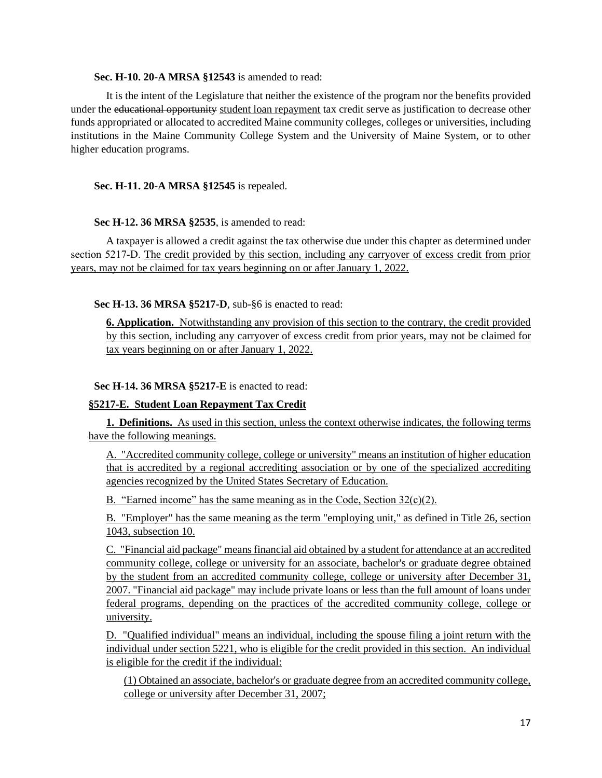### **Sec. H-10. 20-A MRSA §12543** is amended to read:

It is the intent of the Legislature that neither the existence of the program nor the benefits provided under the educational opportunity student loan repayment tax credit serve as justification to decrease other funds appropriated or allocated to accredited Maine community colleges, colleges or universities, including institutions in the Maine Community College System and the University of Maine System, or to other higher education programs.

## **Sec. H-11. 20-A MRSA §12545** is repealed.

### **Sec H-12. 36 MRSA §2535**, is amended to read:

A taxpayer is allowed a credit against the tax otherwise due under this chapter as determined under section 5217–D. The credit provided by this section, including any carryover of excess credit from prior years, may not be claimed for tax years beginning on or after January 1, 2022.

**Sec H-13. 36 MRSA §5217-D**, sub-§6 is enacted to read:

**6. Application.** Notwithstanding any provision of this section to the contrary, the credit provided by this section, including any carryover of excess credit from prior years, may not be claimed for tax years beginning on or after January 1, 2022.

## **Sec H-14. 36 MRSA §5217-E** is enacted to read:

### **§5217-E. Student Loan Repayment Tax Credit**

**1. Definitions.** As used in this section, unless the context otherwise indicates, the following terms have the following meanings.

A. "Accredited community college, college or university" means an institution of higher education that is accredited by a regional accrediting association or by one of the specialized accrediting agencies recognized by the United States Secretary of Education.

B. "Earned income" has the same meaning as in the Code, Section  $32(c)(2)$ .

B. "Employer" has the same meaning as the term "employing unit," as defined in Title 26, section 1043, subsection 10.

C. "Financial aid package" means financial aid obtained by a student for attendance at an accredited community college, college or university for an associate, bachelor's or graduate degree obtained by the student from an accredited community college, college or university after December 31, 2007. "Financial aid package" may include private loans or less than the full amount of loans under federal programs, depending on the practices of the accredited community college, college or university.

D. "Qualified individual" means an individual, including the spouse filing a joint return with the individual under section 5221, who is eligible for the credit provided in this section. An individual is eligible for the credit if the individual:

(1) Obtained an associate, bachelor's or graduate degree from an accredited community college, college or university after December 31, 2007;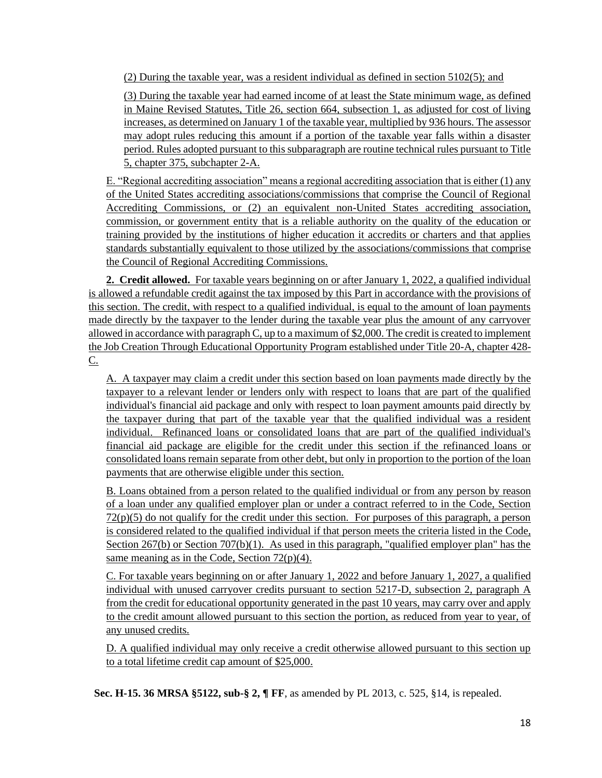(2) During the taxable year, was a resident individual as defined in section 5102(5); and

(3) During the taxable year had earned income of at least the State minimum wage, as defined in Maine Revised Statutes, Title 26, section 664, subsection 1, as adjusted for cost of living increases, as determined on January 1 of the taxable year, multiplied by 936 hours. The assessor may adopt rules reducing this amount if a portion of the taxable year falls within a disaster period. Rules adopted pursuant to this subparagraph are routine technical rules pursuant to Title 5, chapter 375, subchapter 2-A.

E. "Regional accrediting association" means a regional accrediting association that is either (1) any of the United States accrediting associations/commissions that comprise the Council of Regional Accrediting Commissions, or (2) an equivalent non-United States accrediting association, commission, or government entity that is a reliable authority on the quality of the education or training provided by the institutions of higher education it accredits or charters and that applies standards substantially equivalent to those utilized by the associations/commissions that comprise the Council of Regional Accrediting Commissions.

**2. Credit allowed.** For taxable years beginning on or after January 1, 2022, a qualified individual is allowed a refundable credit against the tax imposed by this Part in accordance with the provisions of this section. The credit, with respect to a qualified individual, is equal to the amount of loan payments made directly by the taxpayer to the lender during the taxable year plus the amount of any carryover allowed in accordance with paragraph C, up to a maximum of \$2,000. The credit is created to implement the Job Creation Through Educational Opportunity Program established under Title 20-A, chapter 428- C.

A. A taxpayer may claim a credit under this section based on loan payments made directly by the taxpayer to a relevant lender or lenders only with respect to loans that are part of the qualified individual's financial aid package and only with respect to loan payment amounts paid directly by the taxpayer during that part of the taxable year that the qualified individual was a resident individual. Refinanced loans or consolidated loans that are part of the qualified individual's financial aid package are eligible for the credit under this section if the refinanced loans or consolidated loans remain separate from other debt, but only in proportion to the portion of the loan payments that are otherwise eligible under this section.

B. Loans obtained from a person related to the qualified individual or from any person by reason of a loan under any qualified employer plan or under a contract referred to in the Code, Section  $72(p)(5)$  do not qualify for the credit under this section. For purposes of this paragraph, a person is considered related to the qualified individual if that person meets the criteria listed in the Code, Section 267(b) or Section 707(b)(1). As used in this paragraph, "qualified employer plan" has the same meaning as in the Code, Section 72(p)(4).

C. For taxable years beginning on or after January 1, 2022 and before January 1, 2027, a qualified individual with unused carryover credits pursuant to section 5217-D, subsection 2, paragraph A from the credit for educational opportunity generated in the past 10 years, may carry over and apply to the credit amount allowed pursuant to this section the portion, as reduced from year to year, of any unused credits.

D. A qualified individual may only receive a credit otherwise allowed pursuant to this section up to a total lifetime credit cap amount of \$25,000.

**Sec. H-15. 36 MRSA §5122, sub-§ 2, ¶ FF**, as amended by PL 2013, c. 525, §14, is repealed.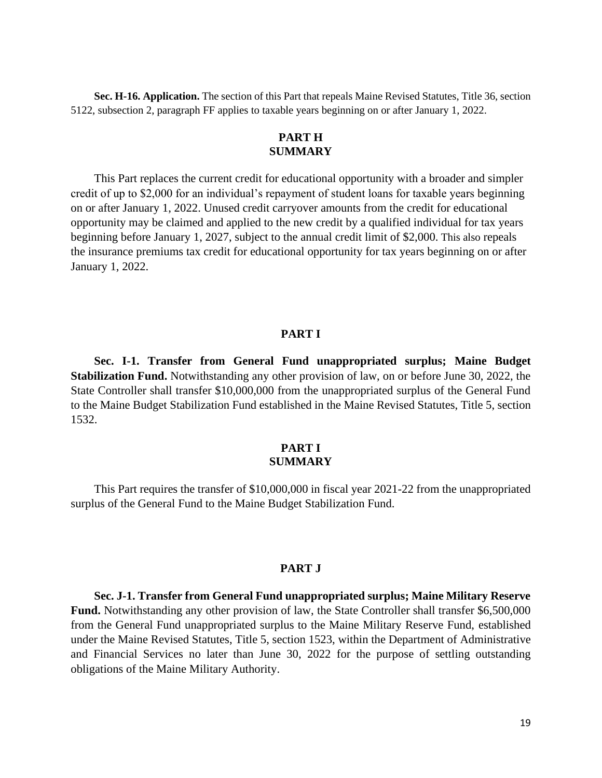**Sec. H-16. Application.** The section of this Part that repeals Maine Revised Statutes, Title 36, section 5122, subsection 2, paragraph FF applies to taxable years beginning on or after January 1, 2022.

# **PART H SUMMARY**

This Part replaces the current credit for educational opportunity with a broader and simpler credit of up to \$2,000 for an individual's repayment of student loans for taxable years beginning on or after January 1, 2022. Unused credit carryover amounts from the credit for educational opportunity may be claimed and applied to the new credit by a qualified individual for tax years beginning before January 1, 2027, subject to the annual credit limit of \$2,000. This also repeals the insurance premiums tax credit for educational opportunity for tax years beginning on or after January 1, 2022.

### **PART I**

**Sec. I-1. Transfer from General Fund unappropriated surplus; Maine Budget Stabilization Fund.** Notwithstanding any other provision of law, on or before June 30, 2022, the State Controller shall transfer \$10,000,000 from the unappropriated surplus of the General Fund to the Maine Budget Stabilization Fund established in the Maine Revised Statutes, Title 5, section 1532.

## **PART I SUMMARY**

This Part requires the transfer of \$10,000,000 in fiscal year 2021-22 from the unappropriated surplus of the General Fund to the Maine Budget Stabilization Fund.

#### **PART J**

**Sec. J-1. Transfer from General Fund unappropriated surplus; Maine Military Reserve**  Fund. Notwithstanding any other provision of law, the State Controller shall transfer \$6,500,000 from the General Fund unappropriated surplus to the Maine Military Reserve Fund, established under the Maine Revised Statutes, Title 5, section 1523, within the Department of Administrative and Financial Services no later than June 30, 2022 for the purpose of settling outstanding obligations of the Maine Military Authority.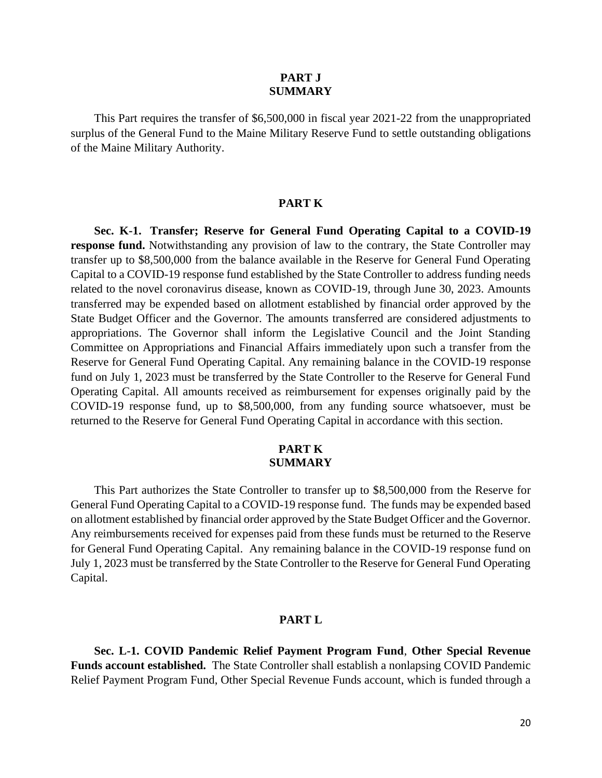### **PART J SUMMARY**

This Part requires the transfer of \$6,500,000 in fiscal year 2021-22 from the unappropriated surplus of the General Fund to the Maine Military Reserve Fund to settle outstanding obligations of the Maine Military Authority.

### **PART K**

**Sec. K-1. Transfer; Reserve for General Fund Operating Capital to a COVID-19 response fund.** Notwithstanding any provision of law to the contrary, the State Controller may transfer up to \$8,500,000 from the balance available in the Reserve for General Fund Operating Capital to a COVID-19 response fund established by the State Controller to address funding needs related to the novel coronavirus disease, known as COVID-19, through June 30, 2023. Amounts transferred may be expended based on allotment established by financial order approved by the State Budget Officer and the Governor. The amounts transferred are considered adjustments to appropriations. The Governor shall inform the Legislative Council and the Joint Standing Committee on Appropriations and Financial Affairs immediately upon such a transfer from the Reserve for General Fund Operating Capital. Any remaining balance in the COVID-19 response fund on July 1, 2023 must be transferred by the State Controller to the Reserve for General Fund Operating Capital. All amounts received as reimbursement for expenses originally paid by the COVID-19 response fund, up to \$8,500,000, from any funding source whatsoever, must be returned to the Reserve for General Fund Operating Capital in accordance with this section.

### **PART K SUMMARY**

This Part authorizes the State Controller to transfer up to \$8,500,000 from the Reserve for General Fund Operating Capital to a COVID-19 response fund. The funds may be expended based on allotment established by financial order approved by the State Budget Officer and the Governor. Any reimbursements received for expenses paid from these funds must be returned to the Reserve for General Fund Operating Capital. Any remaining balance in the COVID-19 response fund on July 1, 2023 must be transferred by the State Controller to the Reserve for General Fund Operating Capital.

#### **PART L**

**Sec. L-1. COVID Pandemic Relief Payment Program Fund**, **Other Special Revenue Funds account established.** The State Controller shall establish a nonlapsing COVID Pandemic Relief Payment Program Fund, Other Special Revenue Funds account, which is funded through a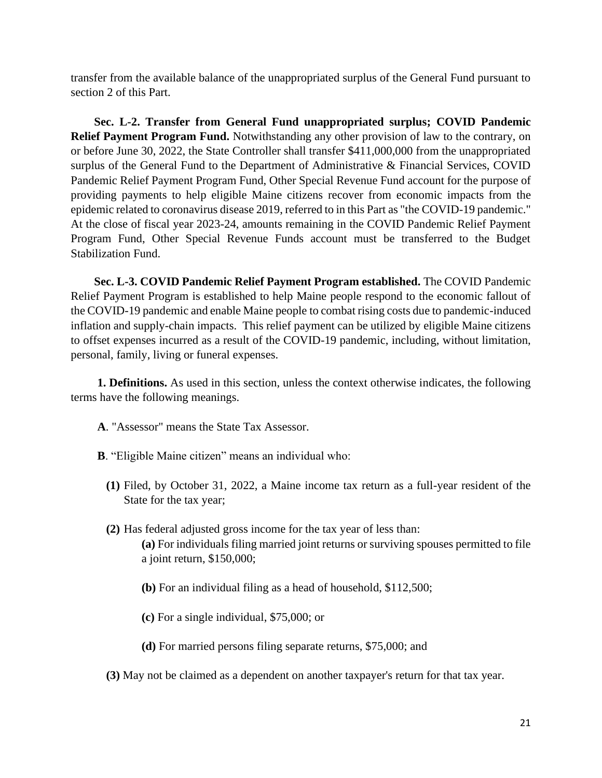transfer from the available balance of the unappropriated surplus of the General Fund pursuant to section 2 of this Part.

**Sec. L-2. Transfer from General Fund unappropriated surplus; COVID Pandemic Relief Payment Program Fund.** Notwithstanding any other provision of law to the contrary, on or before June 30, 2022, the State Controller shall transfer \$411,000,000 from the unappropriated surplus of the General Fund to the Department of Administrative & Financial Services, COVID Pandemic Relief Payment Program Fund, Other Special Revenue Fund account for the purpose of providing payments to help eligible Maine citizens recover from economic impacts from the epidemic related to coronavirus disease 2019, referred to in this Part as "the COVID-19 pandemic." At the close of fiscal year 2023-24, amounts remaining in the COVID Pandemic Relief Payment Program Fund, Other Special Revenue Funds account must be transferred to the Budget Stabilization Fund.

**Sec. L-3. COVID Pandemic Relief Payment Program established.** The COVID Pandemic Relief Payment Program is established to help Maine people respond to the economic fallout of the COVID-19 pandemic and enable Maine people to combat rising costs due to pandemic-induced inflation and supply-chain impacts. This relief payment can be utilized by eligible Maine citizens to offset expenses incurred as a result of the COVID-19 pandemic, including, without limitation, personal, family, living or funeral expenses.

**1. Definitions.** As used in this section, unless the context otherwise indicates, the following terms have the following meanings.

- **A**. "Assessor" means the State Tax Assessor.
- **B**. "Eligible Maine citizen" means an individual who:
	- **(1)** Filed, by October 31, 2022, a Maine income tax return as a full-year resident of the State for the tax year;
	- **(2)** Has federal adjusted gross income for the tax year of less than: **(a)** For individuals filing married joint returns or surviving spouses permitted to file a joint return, \$150,000;
		- **(b)** For an individual filing as a head of household, \$112,500;
		- **(c)** For a single individual, \$75,000; or
		- **(d)** For married persons filing separate returns, \$75,000; and
	- **(3)** May not be claimed as a dependent on another taxpayer's return for that tax year.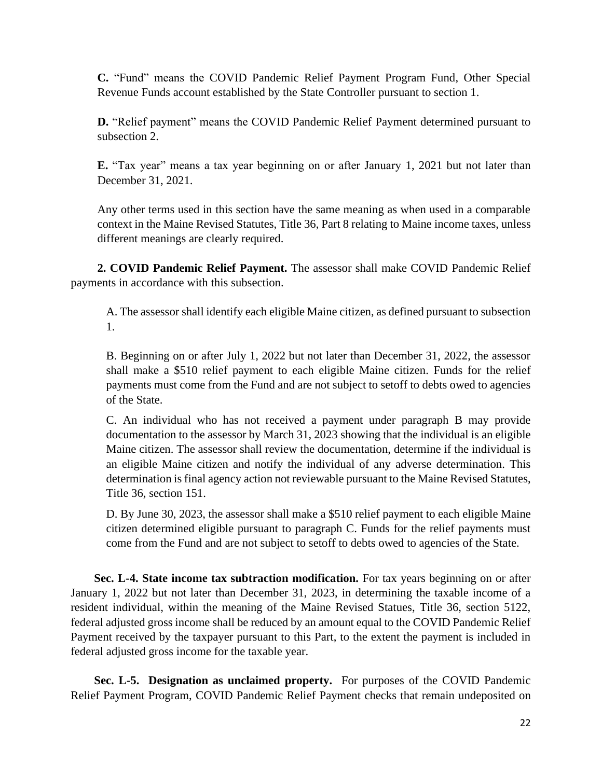**C.** "Fund" means the COVID Pandemic Relief Payment Program Fund, Other Special Revenue Funds account established by the State Controller pursuant to section 1.

**D.** "Relief payment" means the COVID Pandemic Relief Payment determined pursuant to subsection 2.

**E.** "Tax year" means a tax year beginning on or after January 1, 2021 but not later than December 31, 2021.

Any other terms used in this section have the same meaning as when used in a comparable context in the Maine Revised Statutes, Title 36, Part 8 relating to Maine income taxes, unless different meanings are clearly required.

**2. COVID Pandemic Relief Payment.** The assessor shall make COVID Pandemic Relief payments in accordance with this subsection.

A. The assessor shall identify each eligible Maine citizen, as defined pursuant to subsection 1.

B. Beginning on or after July 1, 2022 but not later than December 31, 2022, the assessor shall make a \$510 relief payment to each eligible Maine citizen. Funds for the relief payments must come from the Fund and are not subject to setoff to debts owed to agencies of the State.

C. An individual who has not received a payment under paragraph B may provide documentation to the assessor by March 31, 2023 showing that the individual is an eligible Maine citizen. The assessor shall review the documentation, determine if the individual is an eligible Maine citizen and notify the individual of any adverse determination. This determination is final agency action not reviewable pursuant to the Maine Revised Statutes, Title 36, section 151.

D. By June 30, 2023, the assessor shall make a \$510 relief payment to each eligible Maine citizen determined eligible pursuant to paragraph C. Funds for the relief payments must come from the Fund and are not subject to setoff to debts owed to agencies of the State.

**Sec. L-4. State income tax subtraction modification.** For tax years beginning on or after January 1, 2022 but not later than December 31, 2023, in determining the taxable income of a resident individual, within the meaning of the Maine Revised Statues, Title 36, section 5122, federal adjusted gross income shall be reduced by an amount equal to the COVID Pandemic Relief Payment received by the taxpayer pursuant to this Part, to the extent the payment is included in federal adjusted gross income for the taxable year.

**Sec. L-5. Designation as unclaimed property.** For purposes of the COVID Pandemic Relief Payment Program, COVID Pandemic Relief Payment checks that remain undeposited on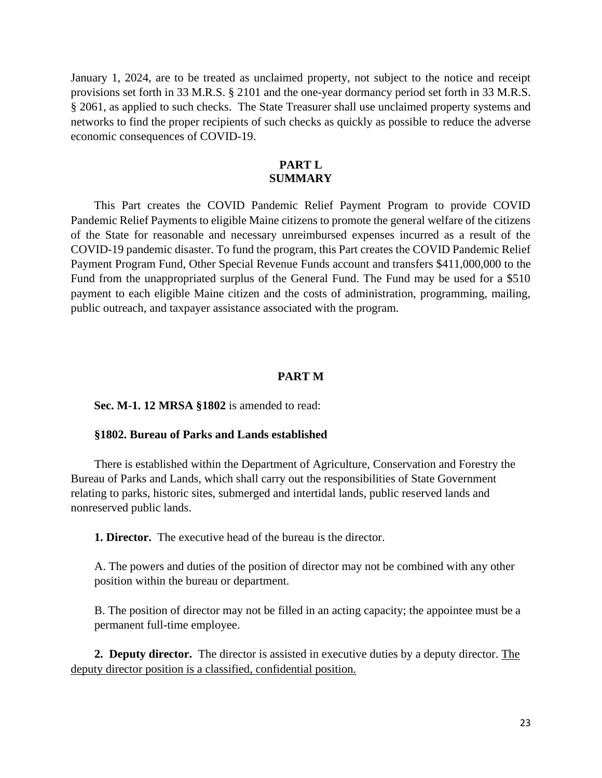January 1, 2024, are to be treated as unclaimed property, not subject to the notice and receipt provisions set forth in 33 M.R.S. § 2101 and the one-year dormancy period set forth in 33 M.R.S. § 2061, as applied to such checks. The State Treasurer shall use unclaimed property systems and networks to find the proper recipients of such checks as quickly as possible to reduce the adverse economic consequences of COVID-19.

## **PART L SUMMARY**

This Part creates the COVID Pandemic Relief Payment Program to provide COVID Pandemic Relief Payments to eligible Maine citizens to promote the general welfare of the citizens of the State for reasonable and necessary unreimbursed expenses incurred as a result of the COVID-19 pandemic disaster. To fund the program, this Part creates the COVID Pandemic Relief Payment Program Fund, Other Special Revenue Funds account and transfers \$411,000,000 to the Fund from the unappropriated surplus of the General Fund. The Fund may be used for a \$510 payment to each eligible Maine citizen and the costs of administration, programming, mailing, public outreach, and taxpayer assistance associated with the program.

## **PART M**

### **Sec. M-1. 12 MRSA §1802** is amended to read:

### **§1802. Bureau of Parks and Lands established**

There is established within the Department of Agriculture, Conservation and Forestry the Bureau of Parks and Lands, which shall carry out the responsibilities of State Government relating to parks, historic sites, submerged and intertidal lands, public reserved lands and nonreserved public lands.

**1. Director.** The executive head of the bureau is the director.

A. The powers and duties of the position of director may not be combined with any other position within the bureau or department.

B. The position of director may not be filled in an acting capacity; the appointee must be a permanent full-time employee.

**2. Deputy director.** The director is assisted in executive duties by a deputy director. The deputy director position is a classified, confidential position.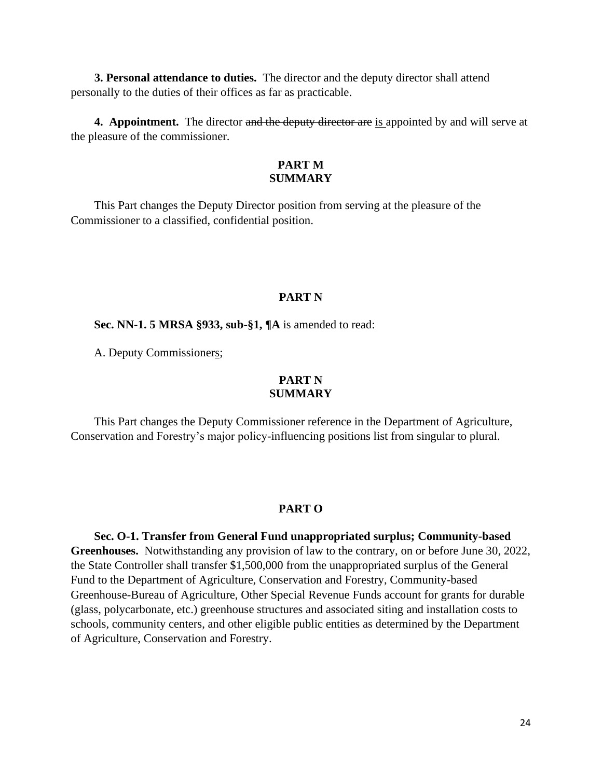**3. Personal attendance to duties.** The director and the deputy director shall attend personally to the duties of their offices as far as practicable.

**4. Appointment.** The director and the deputy director are is appointed by and will serve at the pleasure of the commissioner.

## **PART M SUMMARY**

This Part changes the Deputy Director position from serving at the pleasure of the Commissioner to a classified, confidential position.

## **PART N**

**Sec. NN-1. 5 MRSA §933, sub-§1, ¶A** is amended to read:

A. Deputy Commissioners;

## **PART N SUMMARY**

This Part changes the Deputy Commissioner reference in the Department of Agriculture, Conservation and Forestry's major policy-influencing positions list from singular to plural.

### **PART O**

**Sec. O-1. Transfer from General Fund unappropriated surplus; Community-based Greenhouses.** Notwithstanding any provision of law to the contrary, on or before June 30, 2022, the State Controller shall transfer \$1,500,000 from the unappropriated surplus of the General Fund to the Department of Agriculture, Conservation and Forestry, Community-based Greenhouse-Bureau of Agriculture, Other Special Revenue Funds account for grants for durable (glass, polycarbonate, etc.) greenhouse structures and associated siting and installation costs to schools, community centers, and other eligible public entities as determined by the Department of Agriculture, Conservation and Forestry.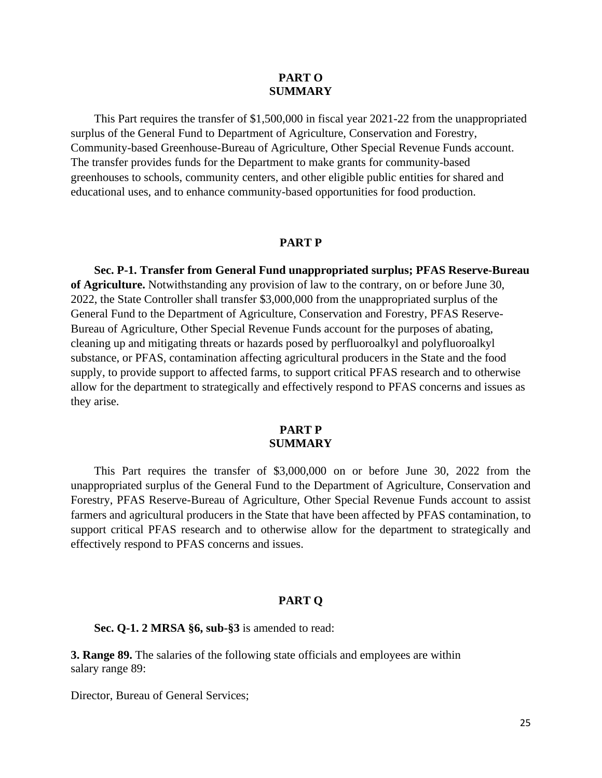## **PART O SUMMARY**

This Part requires the transfer of \$1,500,000 in fiscal year 2021-22 from the unappropriated surplus of the General Fund to Department of Agriculture, Conservation and Forestry, Community-based Greenhouse-Bureau of Agriculture, Other Special Revenue Funds account. The transfer provides funds for the Department to make grants for community-based greenhouses to schools, community centers, and other eligible public entities for shared and educational uses, and to enhance community-based opportunities for food production.

### **PART P**

**Sec. P-1. Transfer from General Fund unappropriated surplus; PFAS Reserve-Bureau of Agriculture.** Notwithstanding any provision of law to the contrary, on or before June 30, 2022, the State Controller shall transfer \$3,000,000 from the unappropriated surplus of the General Fund to the Department of Agriculture, Conservation and Forestry, PFAS Reserve-Bureau of Agriculture, Other Special Revenue Funds account for the purposes of abating, cleaning up and mitigating threats or hazards posed by perfluoroalkyl and polyfluoroalkyl substance, or PFAS, contamination affecting agricultural producers in the State and the food supply, to provide support to affected farms, to support critical PFAS research and to otherwise allow for the department to strategically and effectively respond to PFAS concerns and issues as they arise.

## **PART P SUMMARY**

This Part requires the transfer of \$3,000,000 on or before June 30, 2022 from the unappropriated surplus of the General Fund to the Department of Agriculture, Conservation and Forestry, PFAS Reserve-Bureau of Agriculture, Other Special Revenue Funds account to assist farmers and agricultural producers in the State that have been affected by PFAS contamination, to support critical PFAS research and to otherwise allow for the department to strategically and effectively respond to PFAS concerns and issues.

### **PART Q**

**Sec. Q-1. 2 MRSA §6, sub-§3** is amended to read:

**3. Range 89.** The salaries of the following state officials and employees are within salary range 89:

Director, Bureau of General Services;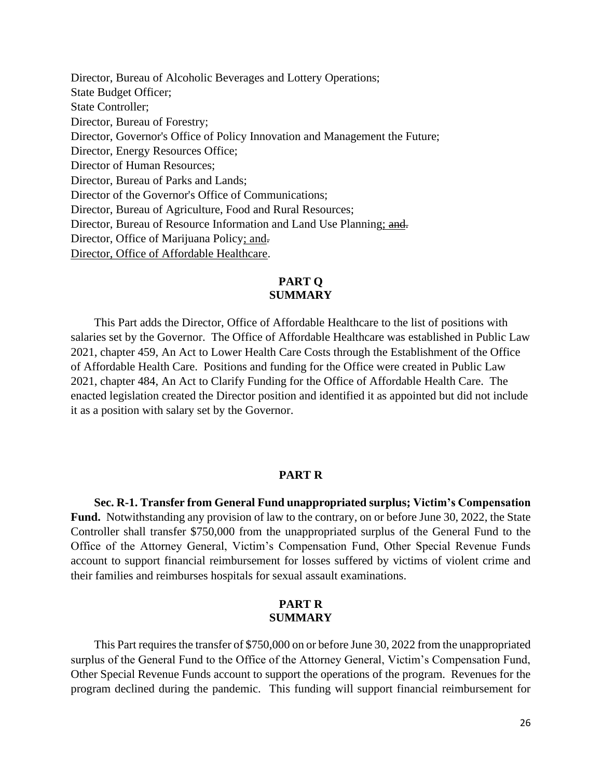Director, Bureau of Alcoholic Beverages and Lottery Operations; State Budget Officer; State Controller; Director, Bureau of Forestry; Director, Governor's Office of Policy Innovation and Management the Future; Director, Energy Resources Office; Director of Human Resources; Director, Bureau of Parks and Lands; Director of the Governor's Office of Communications; Director, Bureau of Agriculture, Food and Rural Resources; Director, Bureau of Resource Information and Land Use Planning; and. Director, Office of Marijuana Policy; and. Director, Office of Affordable Healthcare.

## **PART Q SUMMARY**

This Part adds the Director, Office of Affordable Healthcare to the list of positions with salaries set by the Governor. The Office of Affordable Healthcare was established in Public Law 2021, chapter 459, An Act to Lower Health Care Costs through the Establishment of the Office of Affordable Health Care. Positions and funding for the Office were created in Public Law 2021, chapter 484, An Act to Clarify Funding for the Office of Affordable Health Care. The enacted legislation created the Director position and identified it as appointed but did not include it as a position with salary set by the Governor.

## **PART R**

**Sec. R-1. Transfer from General Fund unappropriated surplus; Victim's Compensation Fund.** Notwithstanding any provision of law to the contrary, on or before June 30, 2022, the State Controller shall transfer \$750,000 from the unappropriated surplus of the General Fund to the Office of the Attorney General, Victim's Compensation Fund, Other Special Revenue Funds account to support financial reimbursement for losses suffered by victims of violent crime and their families and reimburses hospitals for sexual assault examinations.

## **PART R SUMMARY**

This Part requires the transfer of \$750,000 on or before June 30, 2022 from the unappropriated surplus of the General Fund to the Office of the Attorney General, Victim's Compensation Fund, Other Special Revenue Funds account to support the operations of the program. Revenues for the program declined during the pandemic. This funding will support financial reimbursement for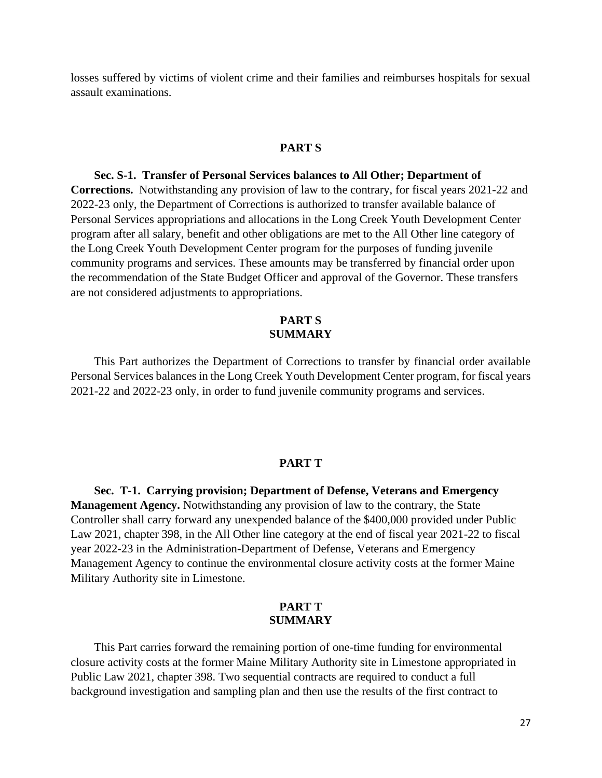losses suffered by victims of violent crime and their families and reimburses hospitals for sexual assault examinations.

## **PART S**

**Sec. S-1. Transfer of Personal Services balances to All Other; Department of Corrections.** Notwithstanding any provision of law to the contrary, for fiscal years 2021-22 and 2022-23 only, the Department of Corrections is authorized to transfer available balance of Personal Services appropriations and allocations in the Long Creek Youth Development Center program after all salary, benefit and other obligations are met to the All Other line category of the Long Creek Youth Development Center program for the purposes of funding juvenile community programs and services. These amounts may be transferred by financial order upon the recommendation of the State Budget Officer and approval of the Governor. These transfers are not considered adjustments to appropriations.

## **PART S SUMMARY**

This Part authorizes the Department of Corrections to transfer by financial order available Personal Services balances in the Long Creek Youth Development Center program, for fiscal years 2021-22 and 2022-23 only, in order to fund juvenile community programs and services.

#### **PART T**

**Sec. T-1. Carrying provision; Department of Defense, Veterans and Emergency Management Agency.** Notwithstanding any provision of law to the contrary, the State Controller shall carry forward any unexpended balance of the \$400,000 provided under Public Law 2021, chapter 398, in the All Other line category at the end of fiscal year 2021-22 to fiscal year 2022-23 in the Administration-Department of Defense, Veterans and Emergency Management Agency to continue the environmental closure activity costs at the former Maine Military Authority site in Limestone.

## **PART T SUMMARY**

This Part carries forward the remaining portion of one-time funding for environmental closure activity costs at the former Maine Military Authority site in Limestone appropriated in Public Law 2021, chapter 398. Two sequential contracts are required to conduct a full background investigation and sampling plan and then use the results of the first contract to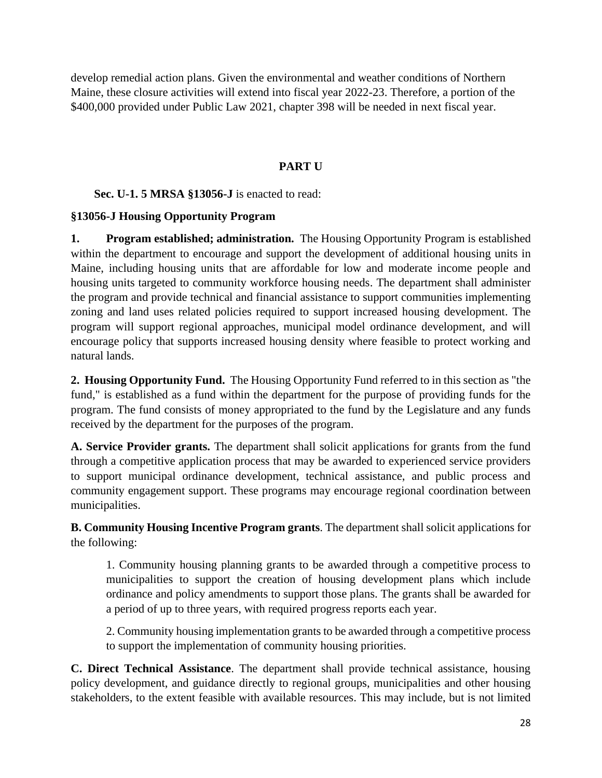develop remedial action plans. Given the environmental and weather conditions of Northern Maine, these closure activities will extend into fiscal year 2022-23. Therefore, a portion of the \$400,000 provided under Public Law 2021, chapter 398 will be needed in next fiscal year.

## **PART U**

# **Sec. U-1. 5 MRSA §13056-J** is enacted to read:

## **§13056-J Housing Opportunity Program**

**1. Program established; administration.** The Housing Opportunity Program is established within the department to encourage and support the development of additional housing units in Maine, including housing units that are affordable for low and moderate income people and housing units targeted to community workforce housing needs. The department shall administer the program and provide technical and financial assistance to support communities implementing zoning and land uses related policies required to support increased housing development. The program will support regional approaches, municipal model ordinance development, and will encourage policy that supports increased housing density where feasible to protect working and natural lands.

**2. Housing Opportunity Fund.** The Housing Opportunity Fund referred to in this section as "the fund," is established as a fund within the department for the purpose of providing funds for the program. The fund consists of money appropriated to the fund by the Legislature and any funds received by the department for the purposes of the program.

**A. Service Provider grants.** The department shall solicit applications for grants from the fund through a competitive application process that may be awarded to experienced service providers to support municipal ordinance development, technical assistance, and public process and community engagement support. These programs may encourage regional coordination between municipalities.

**B. Community Housing Incentive Program grants**. The department shall solicit applications for the following:

1. Community housing planning grants to be awarded through a competitive process to municipalities to support the creation of housing development plans which include ordinance and policy amendments to support those plans. The grants shall be awarded for a period of up to three years, with required progress reports each year.

2. Community housing implementation grants to be awarded through a competitive process to support the implementation of community housing priorities.

**C. Direct Technical Assistance**. The department shall provide technical assistance, housing policy development, and guidance directly to regional groups, municipalities and other housing stakeholders, to the extent feasible with available resources. This may include, but is not limited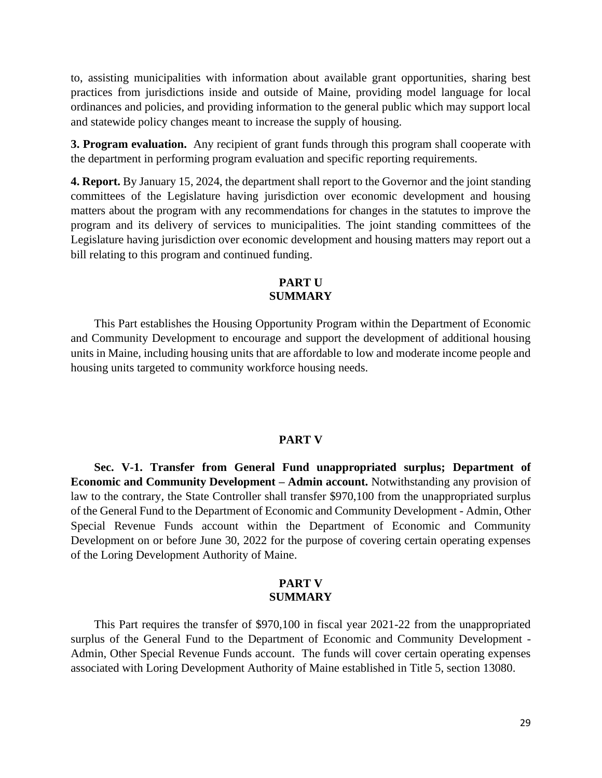to, assisting municipalities with information about available grant opportunities, sharing best practices from jurisdictions inside and outside of Maine, providing model language for local ordinances and policies, and providing information to the general public which may support local and statewide policy changes meant to increase the supply of housing.

**3. Program evaluation.** Any recipient of grant funds through this program shall cooperate with the department in performing program evaluation and specific reporting requirements.

**4. Report.** By January 15, 2024, the department shall report to the Governor and the joint standing committees of the Legislature having jurisdiction over economic development and housing matters about the program with any recommendations for changes in the statutes to improve the program and its delivery of services to municipalities. The joint standing committees of the Legislature having jurisdiction over economic development and housing matters may report out a bill relating to this program and continued funding.

## **PART U SUMMARY**

This Part establishes the Housing Opportunity Program within the Department of Economic and Community Development to encourage and support the development of additional housing units in Maine, including housing units that are affordable to low and moderate income people and housing units targeted to community workforce housing needs.

### **PART V**

**Sec. V-1. Transfer from General Fund unappropriated surplus; Department of Economic and Community Development – Admin account.** Notwithstanding any provision of law to the contrary, the State Controller shall transfer \$970,100 from the unappropriated surplus of the General Fund to the Department of Economic and Community Development - Admin, Other Special Revenue Funds account within the Department of Economic and Community Development on or before June 30, 2022 for the purpose of covering certain operating expenses of the Loring Development Authority of Maine.

## **PART V SUMMARY**

This Part requires the transfer of \$970,100 in fiscal year 2021-22 from the unappropriated surplus of the General Fund to the Department of Economic and Community Development - Admin, Other Special Revenue Funds account. The funds will cover certain operating expenses associated with Loring Development Authority of Maine established in Title 5, section 13080.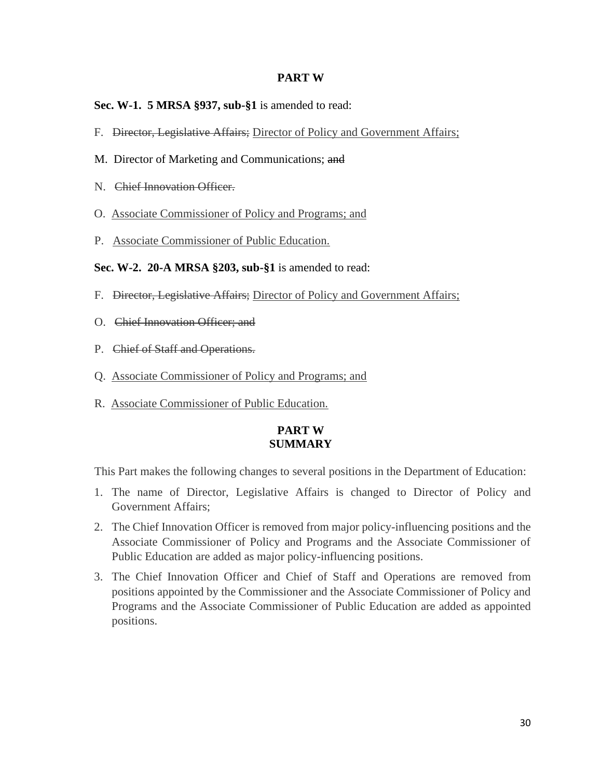## **PART W**

## **Sec. W-1. 5 MRSA §937, sub-§1** is amended to read:

- F. Director, Legislative Affairs; Director of Policy and Government Affairs;
- M. Director of Marketing and Communications; and
- N. Chief Innovation Officer.
- O. Associate Commissioner of Policy and Programs; and
- P. Associate Commissioner of Public Education.

## **Sec. W-2. 20-A MRSA §203, sub-§1** is amended to read:

- F. Director, Legislative Affairs; Director of Policy and Government Affairs;
- O. Chief Innovation Officer; and
- P. Chief of Staff and Operations.
- Q. Associate Commissioner of Policy and Programs; and
- R. Associate Commissioner of Public Education.

## **PART W SUMMARY**

This Part makes the following changes to several positions in the Department of Education:

- 1. The name of Director, Legislative Affairs is changed to Director of Policy and Government Affairs;
- 2. The Chief Innovation Officer is removed from major policy-influencing positions and the Associate Commissioner of Policy and Programs and the Associate Commissioner of Public Education are added as major policy-influencing positions.
- 3. The Chief Innovation Officer and Chief of Staff and Operations are removed from positions appointed by the Commissioner and the Associate Commissioner of Policy and Programs and the Associate Commissioner of Public Education are added as appointed positions.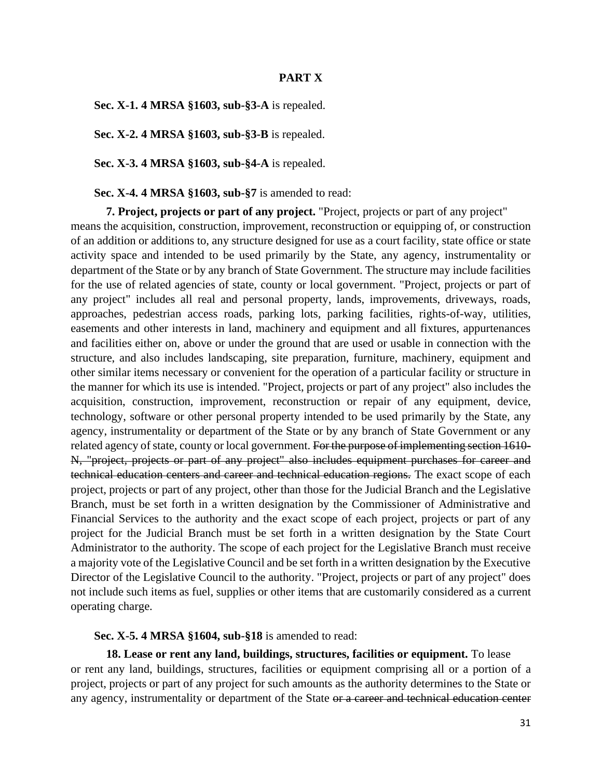## **PART X**

**Sec. X-1. 4 MRSA §1603, sub-§3-A** is repealed.

**Sec. X-2. 4 MRSA §1603, sub-§3-B** is repealed.

**Sec. X-3. 4 MRSA §1603, sub-§4-A** is repealed.

**Sec. X-4. 4 MRSA §1603, sub-§7** is amended to read:

**7. Project, projects or part of any project.** "Project, projects or part of any project" means the acquisition, construction, improvement, reconstruction or equipping of, or construction of an addition or additions to, any structure designed for use as a court facility, state office or state activity space and intended to be used primarily by the State, any agency, instrumentality or department of the State or by any branch of State Government. The structure may include facilities for the use of related agencies of state, county or local government. "Project, projects or part of any project" includes all real and personal property, lands, improvements, driveways, roads, approaches, pedestrian access roads, parking lots, parking facilities, rights-of-way, utilities, easements and other interests in land, machinery and equipment and all fixtures, appurtenances and facilities either on, above or under the ground that are used or usable in connection with the structure, and also includes landscaping, site preparation, furniture, machinery, equipment and other similar items necessary or convenient for the operation of a particular facility or structure in the manner for which its use is intended. "Project, projects or part of any project" also includes the acquisition, construction, improvement, reconstruction or repair of any equipment, device, technology, software or other personal property intended to be used primarily by the State, any agency, instrumentality or department of the State or by any branch of State Government or any related agency of state, county or local government. For the purpose of implementing section 1610-N, "project, projects or part of any project" also includes equipment purchases for career and technical education centers and career and technical education regions. The exact scope of each project, projects or part of any project, other than those for the Judicial Branch and the Legislative Branch, must be set forth in a written designation by the Commissioner of Administrative and Financial Services to the authority and the exact scope of each project, projects or part of any project for the Judicial Branch must be set forth in a written designation by the State Court Administrator to the authority. The scope of each project for the Legislative Branch must receive a majority vote of the Legislative Council and be set forth in a written designation by the Executive Director of the Legislative Council to the authority. "Project, projects or part of any project" does not include such items as fuel, supplies or other items that are customarily considered as a current operating charge.

**Sec. X-5. 4 MRSA §1604, sub-§18** is amended to read:

**18. Lease or rent any land, buildings, structures, facilities or equipment.** To lease or rent any land, buildings, structures, facilities or equipment comprising all or a portion of a project, projects or part of any project for such amounts as the authority determines to the State or any agency, instrumentality or department of the State or a career and technical education center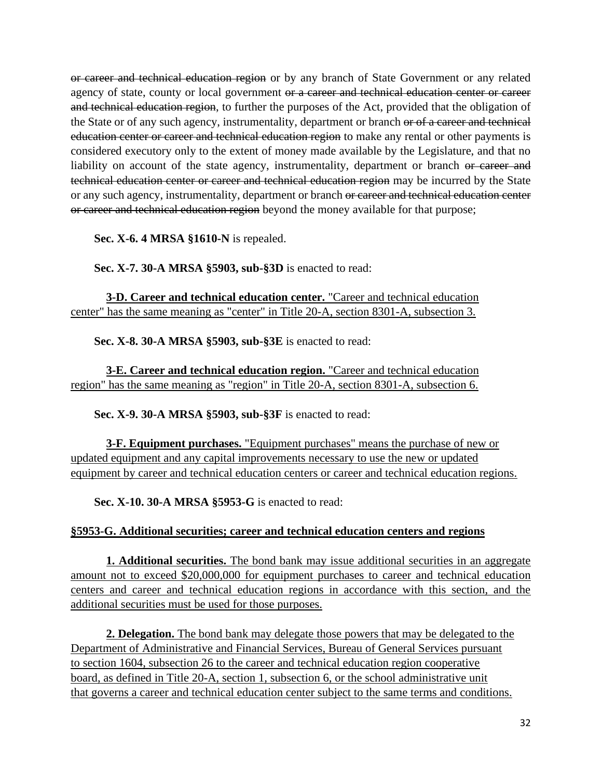or career and technical education region or by any branch of State Government or any related agency of state, county or local government or a career and technical education center or career and technical education region, to further the purposes of the Act, provided that the obligation of the State or of any such agency, instrumentality, department or branch or of a career and technical education center or career and technical education region to make any rental or other payments is considered executory only to the extent of money made available by the Legislature, and that no liability on account of the state agency, instrumentality, department or branch or career and technical education center or career and technical education region may be incurred by the State or any such agency, instrumentality, department or branch or career and technical education center or career and technical education region beyond the money available for that purpose;

**Sec. X-6. 4 MRSA §1610-N** is repealed.

**Sec. X-7. 30-A MRSA §5903, sub-§3D** is enacted to read:

**3-D. Career and technical education center.** "Career and technical education center" has the same meaning as "center" in Title 20-A, section 8301-A, subsection 3.

**Sec. X-8. 30-A MRSA §5903, sub-§3E** is enacted to read:

**3-E. Career and technical education region.** "Career and technical education region" has the same meaning as "region" in Title 20-A, section 8301-A, subsection 6.

**Sec. X-9. 30-A MRSA §5903, sub-§3F** is enacted to read:

**3-F. Equipment purchases.** "Equipment purchases" means the purchase of new or updated equipment and any capital improvements necessary to use the new or updated equipment by career and technical education centers or career and technical education regions.

**Sec. X-10. 30-A MRSA §5953-G** is enacted to read:

## **§5953-G. Additional securities; career and technical education centers and regions**

**1. Additional securities.** The bond bank may issue additional securities in an aggregate amount not to exceed \$20,000,000 for equipment purchases to career and technical education centers and career and technical education regions in accordance with this section, and the additional securities must be used for those purposes.

**2. Delegation.** The bond bank may delegate those powers that may be delegated to the Department of Administrative and Financial Services, Bureau of General Services pursuant to section 1604, subsection 26 to the career and technical education region cooperative board, as defined in Title 20-A, section 1, subsection 6, or the school administrative unit that governs a career and technical education center subject to the same terms and conditions.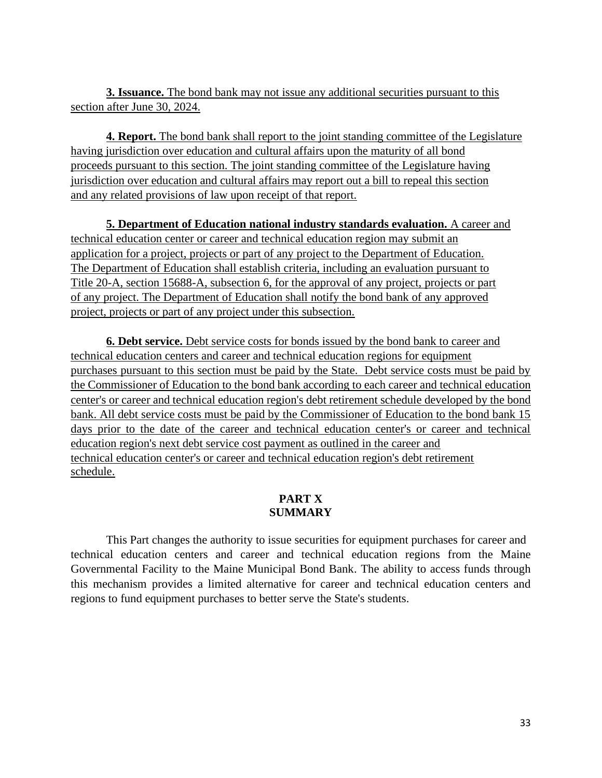**3. Issuance.** The bond bank may not issue any additional securities pursuant to this section after June 30, 2024.

**4. Report.** The bond bank shall report to the joint standing committee of the Legislature having jurisdiction over education and cultural affairs upon the maturity of all bond proceeds pursuant to this section. The joint standing committee of the Legislature having jurisdiction over education and cultural affairs may report out a bill to repeal this section and any related provisions of law upon receipt of that report.

**5. Department of Education national industry standards evaluation.** A career and technical education center or career and technical education region may submit an application for a project, projects or part of any project to the Department of Education. The Department of Education shall establish criteria, including an evaluation pursuant to Title 20-A, section 15688-A, subsection 6, for the approval of any project, projects or part of any project. The Department of Education shall notify the bond bank of any approved project, projects or part of any project under this subsection.

**6. Debt service.** Debt service costs for bonds issued by the bond bank to career and technical education centers and career and technical education regions for equipment purchases pursuant to this section must be paid by the State. Debt service costs must be paid by the Commissioner of Education to the bond bank according to each career and technical education center's or career and technical education region's debt retirement schedule developed by the bond bank. All debt service costs must be paid by the Commissioner of Education to the bond bank 15 days prior to the date of the career and technical education center's or career and technical education region's next debt service cost payment as outlined in the career and technical education center's or career and technical education region's debt retirement schedule.

# **PART X SUMMARY**

This Part changes the authority to issue securities for equipment purchases for career and technical education centers and career and technical education regions from the Maine Governmental Facility to the Maine Municipal Bond Bank. The ability to access funds through this mechanism provides a limited alternative for career and technical education centers and regions to fund equipment purchases to better serve the State's students.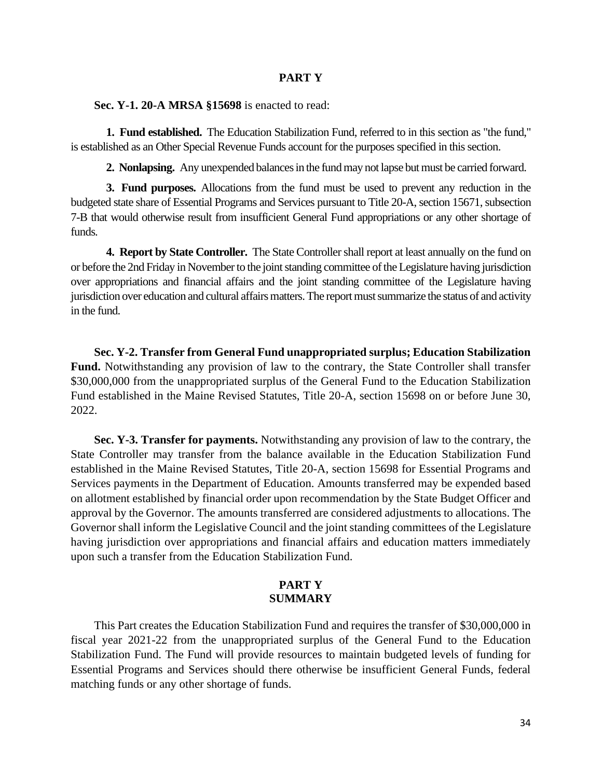### **PART Y**

**Sec. Y-1. 20-A MRSA §15698** is enacted to read:

**1. Fund established.** The Education Stabilization Fund, referred to in this section as "the fund," is established as an Other Special Revenue Funds account for the purposes specified in this section.

**2. Nonlapsing.** Any unexpended balances in the fund may not lapse but must be carried forward.

**3. Fund purposes.** Allocations from the fund must be used to prevent any reduction in the budgeted state share of Essential Programs and Services pursuant to Title 20-A, section 15671, subsection 7-B that would otherwise result from insufficient General Fund appropriations or any other shortage of funds.

**4. Report by State Controller.** The State Controller shall report at least annually on the fund on or before the 2nd Friday in November to the joint standing committee of the Legislature having jurisdiction over appropriations and financial affairs and the joint standing committee of the Legislature having jurisdiction over education and cultural affairs matters. The report must summarize the status of and activity in the fund.

**Sec. Y-2. Transfer from General Fund unappropriated surplus; Education Stabilization**  Fund. Notwithstanding any provision of law to the contrary, the State Controller shall transfer \$30,000,000 from the unappropriated surplus of the General Fund to the Education Stabilization Fund established in the Maine Revised Statutes, Title 20-A, section 15698 on or before June 30, 2022.

**Sec. Y-3. Transfer for payments.** Notwithstanding any provision of law to the contrary, the State Controller may transfer from the balance available in the Education Stabilization Fund established in the Maine Revised Statutes, Title 20-A, section 15698 for Essential Programs and Services payments in the Department of Education. Amounts transferred may be expended based on allotment established by financial order upon recommendation by the State Budget Officer and approval by the Governor. The amounts transferred are considered adjustments to allocations. The Governor shall inform the Legislative Council and the joint standing committees of the Legislature having jurisdiction over appropriations and financial affairs and education matters immediately upon such a transfer from the Education Stabilization Fund.

# **PART Y SUMMARY**

This Part creates the Education Stabilization Fund and requires the transfer of \$30,000,000 in fiscal year 2021-22 from the unappropriated surplus of the General Fund to the Education Stabilization Fund. The Fund will provide resources to maintain budgeted levels of funding for Essential Programs and Services should there otherwise be insufficient General Funds, federal matching funds or any other shortage of funds.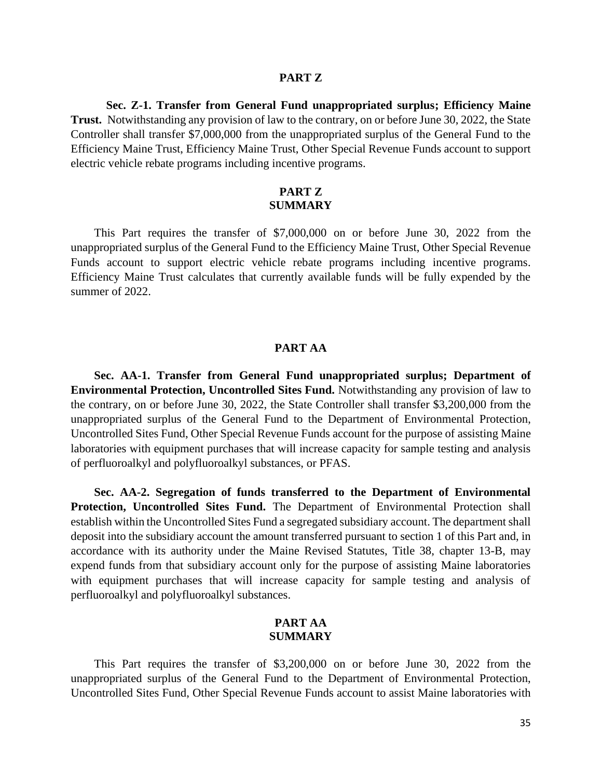#### **PART Z**

**Sec. Z-1. Transfer from General Fund unappropriated surplus; Efficiency Maine Trust.** Notwithstanding any provision of law to the contrary, on or before June 30, 2022, the State Controller shall transfer \$7,000,000 from the unappropriated surplus of the General Fund to the Efficiency Maine Trust, Efficiency Maine Trust, Other Special Revenue Funds account to support electric vehicle rebate programs including incentive programs.

### **PART Z SUMMARY**

This Part requires the transfer of \$7,000,000 on or before June 30, 2022 from the unappropriated surplus of the General Fund to the Efficiency Maine Trust, Other Special Revenue Funds account to support electric vehicle rebate programs including incentive programs. Efficiency Maine Trust calculates that currently available funds will be fully expended by the summer of 2022.

## **PART AA**

**Sec. AA-1. Transfer from General Fund unappropriated surplus; Department of Environmental Protection, Uncontrolled Sites Fund.** Notwithstanding any provision of law to the contrary, on or before June 30, 2022, the State Controller shall transfer \$3,200,000 from the unappropriated surplus of the General Fund to the Department of Environmental Protection, Uncontrolled Sites Fund, Other Special Revenue Funds account for the purpose of assisting Maine laboratories with equipment purchases that will increase capacity for sample testing and analysis of perfluoroalkyl and polyfluoroalkyl substances, or PFAS.

**Sec. AA-2. Segregation of funds transferred to the Department of Environmental**  Protection, Uncontrolled Sites Fund. The Department of Environmental Protection shall establish within the Uncontrolled Sites Fund a segregated subsidiary account. The department shall deposit into the subsidiary account the amount transferred pursuant to section 1 of this Part and, in accordance with its authority under the Maine Revised Statutes, Title 38, chapter 13-B, may expend funds from that subsidiary account only for the purpose of assisting Maine laboratories with equipment purchases that will increase capacity for sample testing and analysis of perfluoroalkyl and polyfluoroalkyl substances.

## **PART AA SUMMARY**

This Part requires the transfer of \$3,200,000 on or before June 30, 2022 from the unappropriated surplus of the General Fund to the Department of Environmental Protection, Uncontrolled Sites Fund, Other Special Revenue Funds account to assist Maine laboratories with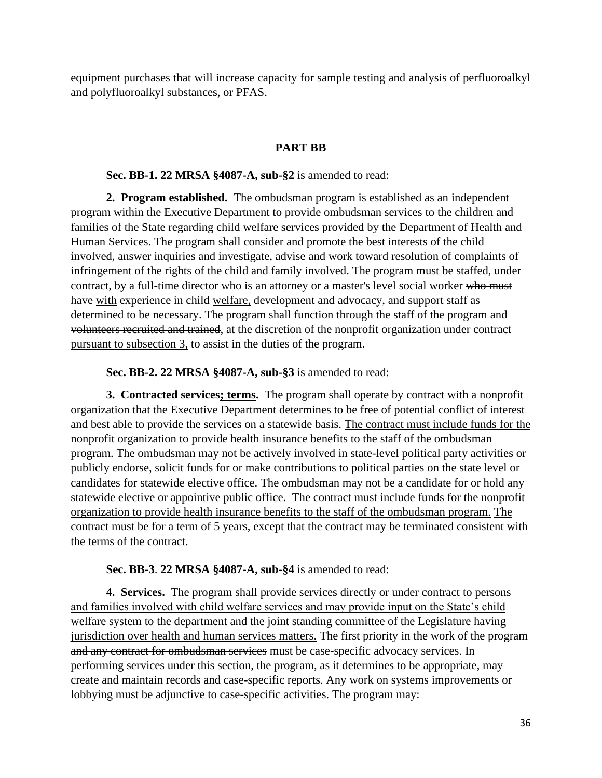equipment purchases that will increase capacity for sample testing and analysis of perfluoroalkyl and polyfluoroalkyl substances, or PFAS.

# **PART BB**

## **Sec. BB-1. 22 MRSA §4087-A, sub-§2** is amended to read:

**2. Program established.** The ombudsman program is established as an independent program within the Executive Department to provide ombudsman services to the children and families of the State regarding child welfare services provided by the Department of Health and Human Services. The program shall consider and promote the best interests of the child involved, answer inquiries and investigate, advise and work toward resolution of complaints of infringement of the rights of the child and family involved. The program must be staffed, under contract, by a full-time director who is an attorney or a master's level social worker who must have with experience in child welfare, development and advocacy, and support staff as determined to be necessary. The program shall function through the staff of the program and volunteers recruited and trained, at the discretion of the nonprofit organization under contract pursuant to subsection 3, to assist in the duties of the program.

**Sec. BB-2. 22 MRSA §4087-A, sub-§3** is amended to read:

**3. Contracted services; terms.** The program shall operate by contract with a nonprofit organization that the Executive Department determines to be free of potential conflict of interest and best able to provide the services on a statewide basis. The contract must include funds for the nonprofit organization to provide health insurance benefits to the staff of the ombudsman program. The ombudsman may not be actively involved in state-level political party activities or publicly endorse, solicit funds for or make contributions to political parties on the state level or candidates for statewide elective office. The ombudsman may not be a candidate for or hold any statewide elective or appointive public office. The contract must include funds for the nonprofit organization to provide health insurance benefits to the staff of the ombudsman program. The contract must be for a term of 5 years, except that the contract may be terminated consistent with the terms of the contract.

## **Sec. BB-3**. **22 MRSA §4087-A, sub-§4** is amended to read:

**4. Services.** The program shall provide services directly or under contract to persons and families involved with child welfare services and may provide input on the State's child welfare system to the department and the joint standing committee of the Legislature having jurisdiction over health and human services matters. The first priority in the work of the program and any contract for ombudsman services must be case-specific advocacy services. In performing services under this section, the program, as it determines to be appropriate, may create and maintain records and case-specific reports. Any work on systems improvements or lobbying must be adjunctive to case-specific activities. The program may: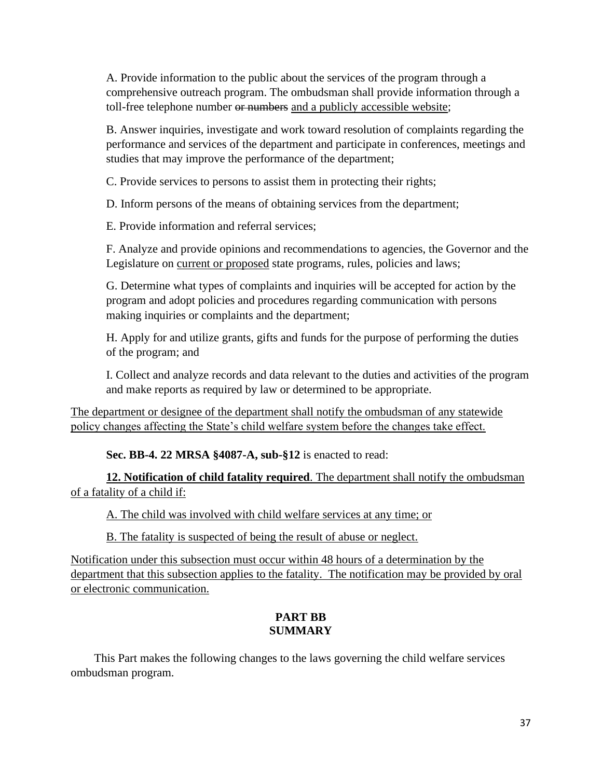A. Provide information to the public about the services of the program through a comprehensive outreach program. The ombudsman shall provide information through a toll-free telephone number or numbers and a publicly accessible website;

B. Answer inquiries, investigate and work toward resolution of complaints regarding the performance and services of the department and participate in conferences, meetings and studies that may improve the performance of the department;

C. Provide services to persons to assist them in protecting their rights;

D. Inform persons of the means of obtaining services from the department;

E. Provide information and referral services;

F. Analyze and provide opinions and recommendations to agencies, the Governor and the Legislature on current or proposed state programs, rules, policies and laws;

G. Determine what types of complaints and inquiries will be accepted for action by the program and adopt policies and procedures regarding communication with persons making inquiries or complaints and the department;

H. Apply for and utilize grants, gifts and funds for the purpose of performing the duties of the program; and

I. Collect and analyze records and data relevant to the duties and activities of the program and make reports as required by law or determined to be appropriate.

The department or designee of the department shall notify the ombudsman of any statewide policy changes affecting the State's child welfare system before the changes take effect.

**Sec. BB-4. 22 MRSA §4087-A, sub-§12** is enacted to read:

**12. Notification of child fatality required**. The department shall notify the ombudsman of a fatality of a child if:

A. The child was involved with child welfare services at any time; or

B. The fatality is suspected of being the result of abuse or neglect.

Notification under this subsection must occur within 48 hours of a determination by the department that this subsection applies to the fatality. The notification may be provided by oral or electronic communication.

# **PART BB SUMMARY**

This Part makes the following changes to the laws governing the child welfare services ombudsman program.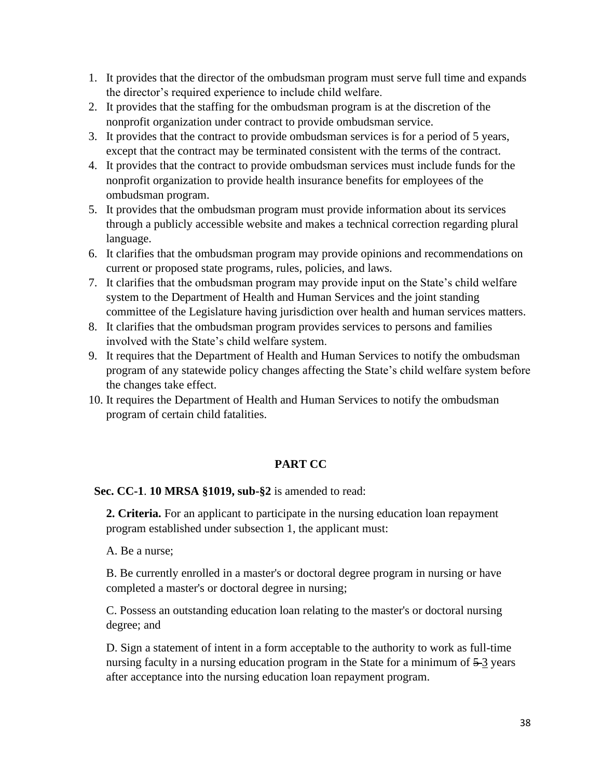- 1. It provides that the director of the ombudsman program must serve full time and expands the director's required experience to include child welfare.
- 2. It provides that the staffing for the ombudsman program is at the discretion of the nonprofit organization under contract to provide ombudsman service.
- 3. It provides that the contract to provide ombudsman services is for a period of 5 years, except that the contract may be terminated consistent with the terms of the contract.
- 4. It provides that the contract to provide ombudsman services must include funds for the nonprofit organization to provide health insurance benefits for employees of the ombudsman program.
- 5. It provides that the ombudsman program must provide information about its services through a publicly accessible website and makes a technical correction regarding plural language.
- 6. It clarifies that the ombudsman program may provide opinions and recommendations on current or proposed state programs, rules, policies, and laws.
- 7. It clarifies that the ombudsman program may provide input on the State's child welfare system to the Department of Health and Human Services and the joint standing committee of the Legislature having jurisdiction over health and human services matters.
- 8. It clarifies that the ombudsman program provides services to persons and families involved with the State's child welfare system.
- 9. It requires that the Department of Health and Human Services to notify the ombudsman program of any statewide policy changes affecting the State's child welfare system before the changes take effect.
- 10. It requires the Department of Health and Human Services to notify the ombudsman program of certain child fatalities.

# **PART CC**

**Sec. CC-1**. **10 MRSA §1019, sub-§2** is amended to read:

**2. Criteria.** For an applicant to participate in the nursing education loan repayment program established under subsection 1, the applicant must:

A. Be a nurse;

B. Be currently enrolled in a master's or doctoral degree program in nursing or have completed a master's or doctoral degree in nursing;

C. Possess an outstanding education loan relating to the master's or doctoral nursing degree; and

D. Sign a statement of intent in a form acceptable to the authority to work as full-time nursing faculty in a nursing education program in the State for a minimum of  $5-3$  years after acceptance into the nursing education loan repayment program.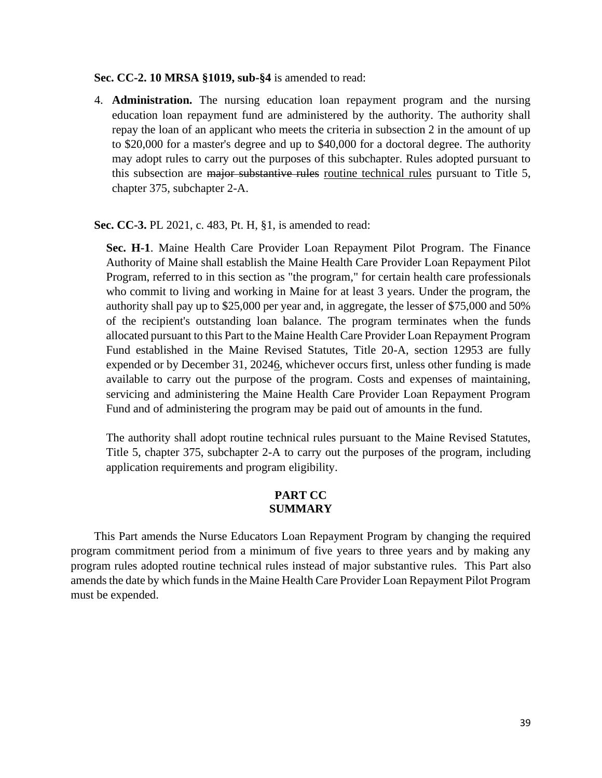#### **Sec. CC-2. 10 MRSA §1019, sub-§4** is amended to read:

4. **Administration.** The nursing education loan repayment program and the nursing education loan repayment fund are administered by the authority. The authority shall repay the loan of an applicant who meets the criteria in subsection 2 in the amount of up to \$20,000 for a master's degree and up to \$40,000 for a doctoral degree. The authority may adopt rules to carry out the purposes of this subchapter. Rules adopted pursuant to this subsection are major substantive rules routine technical rules pursuant to Title 5, chapter 375, subchapter 2-A.

**Sec. CC-3.** PL 2021, c. 483, Pt. H, §1, is amended to read:

**Sec. H-1**. Maine Health Care Provider Loan Repayment Pilot Program. The Finance Authority of Maine shall establish the Maine Health Care Provider Loan Repayment Pilot Program, referred to in this section as "the program," for certain health care professionals who commit to living and working in Maine for at least 3 years. Under the program, the authority shall pay up to \$25,000 per year and, in aggregate, the lesser of \$75,000 and 50% of the recipient's outstanding loan balance. The program terminates when the funds allocated pursuant to this Part to the Maine Health Care Provider Loan Repayment Program Fund established in the Maine Revised Statutes, Title 20-A, section 12953 are fully expended or by December 31, 20246, whichever occurs first, unless other funding is made available to carry out the purpose of the program. Costs and expenses of maintaining, servicing and administering the Maine Health Care Provider Loan Repayment Program Fund and of administering the program may be paid out of amounts in the fund.

The authority shall adopt routine technical rules pursuant to the Maine Revised Statutes, Title 5, chapter 375, subchapter 2-A to carry out the purposes of the program, including application requirements and program eligibility.

## **PART CC SUMMARY**

This Part amends the Nurse Educators Loan Repayment Program by changing the required program commitment period from a minimum of five years to three years and by making any program rules adopted routine technical rules instead of major substantive rules. This Part also amends the date by which funds in the Maine Health Care Provider Loan Repayment Pilot Program must be expended.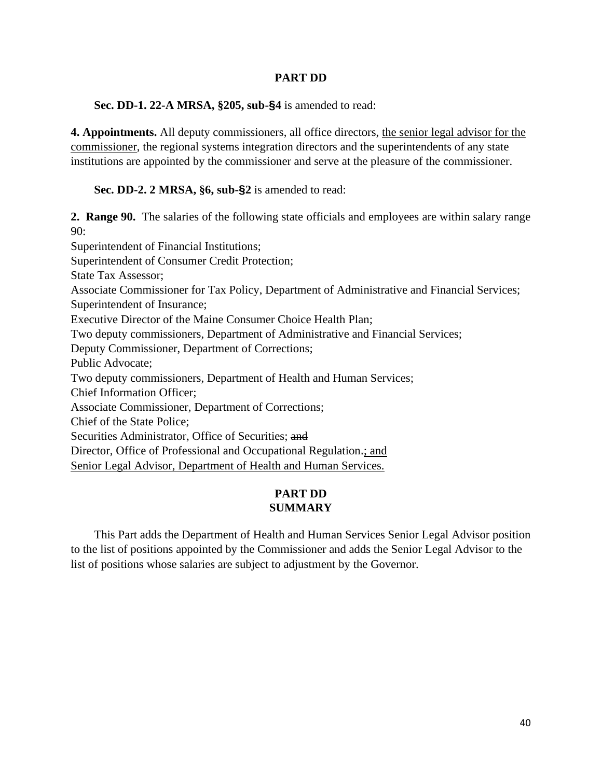## **PART DD**

**Sec. DD-1. 22-A MRSA, §205, sub-§4** is amended to read:

**4. Appointments.** All deputy commissioners, all office directors, the senior legal advisor for the commissioner, the regional systems integration directors and the superintendents of any state institutions are appointed by the commissioner and serve at the pleasure of the commissioner.

**Sec. DD-2. 2 MRSA, §6, sub-§2** is amended to read:

**2. Range 90.** The salaries of the following state officials and employees are within salary range 90:

Superintendent of Financial Institutions; Superintendent of Consumer Credit Protection; State Tax Assessor; Associate Commissioner for Tax Policy, Department of Administrative and Financial Services; Superintendent of Insurance; Executive Director of the Maine Consumer Choice Health Plan; Two deputy commissioners, Department of Administrative and Financial Services; Deputy Commissioner, Department of Corrections; Public Advocate; Two deputy commissioners, Department of Health and Human Services; Chief Information Officer; Associate Commissioner, Department of Corrections; Chief of the State Police; Securities Administrator, Office of Securities; and Director, Office of Professional and Occupational Regulation.; and Senior Legal Advisor, Department of Health and Human Services.

# **PART DD SUMMARY**

This Part adds the Department of Health and Human Services Senior Legal Advisor position to the list of positions appointed by the Commissioner and adds the Senior Legal Advisor to the list of positions whose salaries are subject to adjustment by the Governor.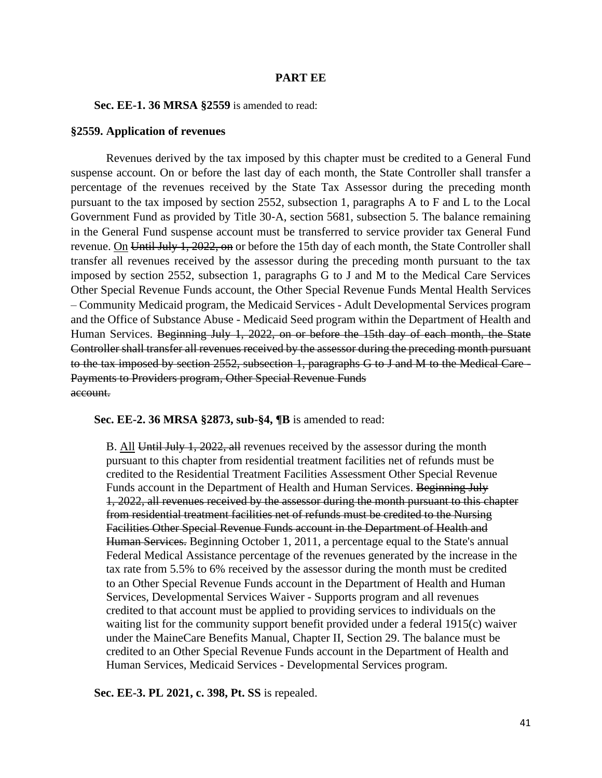### **PART EE**

**Sec. EE-1. 36 MRSA §2559** is amended to read:

### **§2559. Application of revenues**

Revenues derived by the tax imposed by this chapter must be credited to a General Fund suspense account. On or before the last day of each month, the State Controller shall transfer a percentage of the revenues received by the State Tax Assessor during the preceding month pursuant to the tax imposed by section 2552, subsection 1, paragraphs A to F and L to the Local Government Fund as provided by Title 30‑A, section 5681, subsection 5. The balance remaining in the General Fund suspense account must be transferred to service provider tax General Fund revenue. On Until July 1, 2022, on or before the 15th day of each month, the State Controller shall transfer all revenues received by the assessor during the preceding month pursuant to the tax imposed by section 2552, subsection 1, paragraphs G to J and M to the Medical Care Services Other Special Revenue Funds account, the Other Special Revenue Funds Mental Health Services – Community Medicaid program, the Medicaid Services - Adult Developmental Services program and the Office of Substance Abuse - Medicaid Seed program within the Department of Health and Human Services. Beginning July 1, 2022, on or before the 15th day of each month, the State Controller shall transfer all revenues received by the assessor during the preceding month pursuant to the tax imposed by section 2552, subsection 1, paragraphs G to J and M to the Medical Care - Payments to Providers program, Other Special Revenue Funds account.

**Sec. EE-2. 36 MRSA §2873, sub-§4, ¶B** is amended to read:

B. All Until July 1, 2022, all revenues received by the assessor during the month pursuant to this chapter from residential treatment facilities net of refunds must be credited to the Residential Treatment Facilities Assessment Other Special Revenue Funds account in the Department of Health and Human Services. Beginning July 1, 2022, all revenues received by the assessor during the month pursuant to this chapter from residential treatment facilities net of refunds must be credited to the Nursing Facilities Other Special Revenue Funds account in the Department of Health and Human Services. Beginning October 1, 2011, a percentage equal to the State's annual Federal Medical Assistance percentage of the revenues generated by the increase in the tax rate from 5.5% to 6% received by the assessor during the month must be credited to an Other Special Revenue Funds account in the Department of Health and Human Services, Developmental Services Waiver - Supports program and all revenues credited to that account must be applied to providing services to individuals on the waiting list for the community support benefit provided under a federal 1915(c) waiver under the MaineCare Benefits Manual, Chapter II, Section 29. The balance must be credited to an Other Special Revenue Funds account in the Department of Health and Human Services, Medicaid Services - Developmental Services program.

**Sec. EE-3. PL 2021, c. 398, Pt. SS** is repealed.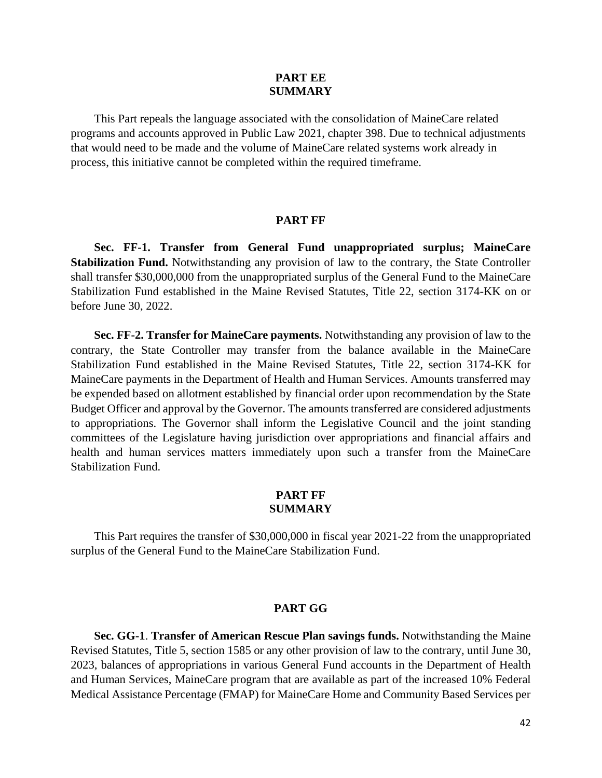## **PART EE SUMMARY**

This Part repeals the language associated with the consolidation of MaineCare related programs and accounts approved in Public Law 2021, chapter 398. Due to technical adjustments that would need to be made and the volume of MaineCare related systems work already in process, this initiative cannot be completed within the required timeframe.

#### **PART FF**

**Sec. FF-1. Transfer from General Fund unappropriated surplus; MaineCare Stabilization Fund.** Notwithstanding any provision of law to the contrary, the State Controller shall transfer \$30,000,000 from the unappropriated surplus of the General Fund to the MaineCare Stabilization Fund established in the Maine Revised Statutes, Title 22, section 3174-KK on or before June 30, 2022.

**Sec. FF-2. Transfer for MaineCare payments.** Notwithstanding any provision of law to the contrary, the State Controller may transfer from the balance available in the MaineCare Stabilization Fund established in the Maine Revised Statutes, Title 22, section 3174-KK for MaineCare payments in the Department of Health and Human Services. Amounts transferred may be expended based on allotment established by financial order upon recommendation by the State Budget Officer and approval by the Governor. The amounts transferred are considered adjustments to appropriations. The Governor shall inform the Legislative Council and the joint standing committees of the Legislature having jurisdiction over appropriations and financial affairs and health and human services matters immediately upon such a transfer from the MaineCare Stabilization Fund.

### **PART FF SUMMARY**

This Part requires the transfer of \$30,000,000 in fiscal year 2021-22 from the unappropriated surplus of the General Fund to the MaineCare Stabilization Fund.

### **PART GG**

**Sec. GG-1**. **Transfer of American Rescue Plan savings funds.** Notwithstanding the Maine Revised Statutes, Title 5, section 1585 or any other provision of law to the contrary, until June 30, 2023, balances of appropriations in various General Fund accounts in the Department of Health and Human Services, MaineCare program that are available as part of the increased 10% Federal Medical Assistance Percentage (FMAP) for MaineCare Home and Community Based Services per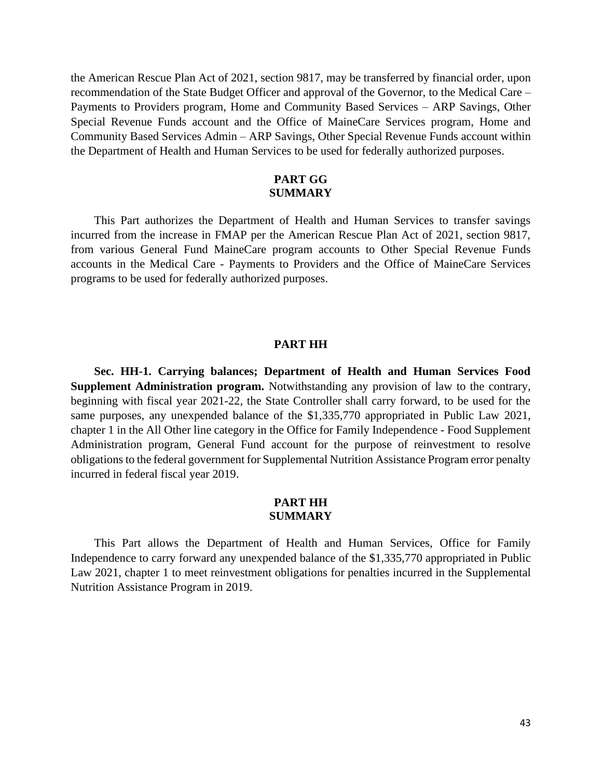the American Rescue Plan Act of 2021, section 9817, may be transferred by financial order, upon recommendation of the State Budget Officer and approval of the Governor, to the Medical Care – Payments to Providers program, Home and Community Based Services – ARP Savings, Other Special Revenue Funds account and the Office of MaineCare Services program, Home and Community Based Services Admin – ARP Savings, Other Special Revenue Funds account within the Department of Health and Human Services to be used for federally authorized purposes.

## **PART GG SUMMARY**

This Part authorizes the Department of Health and Human Services to transfer savings incurred from the increase in FMAP per the American Rescue Plan Act of 2021, section 9817, from various General Fund MaineCare program accounts to Other Special Revenue Funds accounts in the Medical Care - Payments to Providers and the Office of MaineCare Services programs to be used for federally authorized purposes.

#### **PART HH**

**Sec. HH-1. Carrying balances; Department of Health and Human Services Food Supplement Administration program.** Notwithstanding any provision of law to the contrary, beginning with fiscal year 2021-22, the State Controller shall carry forward, to be used for the same purposes, any unexpended balance of the \$1,335,770 appropriated in Public Law 2021, chapter 1 in the All Other line category in the Office for Family Independence - Food Supplement Administration program, General Fund account for the purpose of reinvestment to resolve obligations to the federal government for Supplemental Nutrition Assistance Program error penalty incurred in federal fiscal year 2019.

## **PART HH SUMMARY**

This Part allows the Department of Health and Human Services, Office for Family Independence to carry forward any unexpended balance of the \$1,335,770 appropriated in Public Law 2021, chapter 1 to meet reinvestment obligations for penalties incurred in the Supplemental Nutrition Assistance Program in 2019.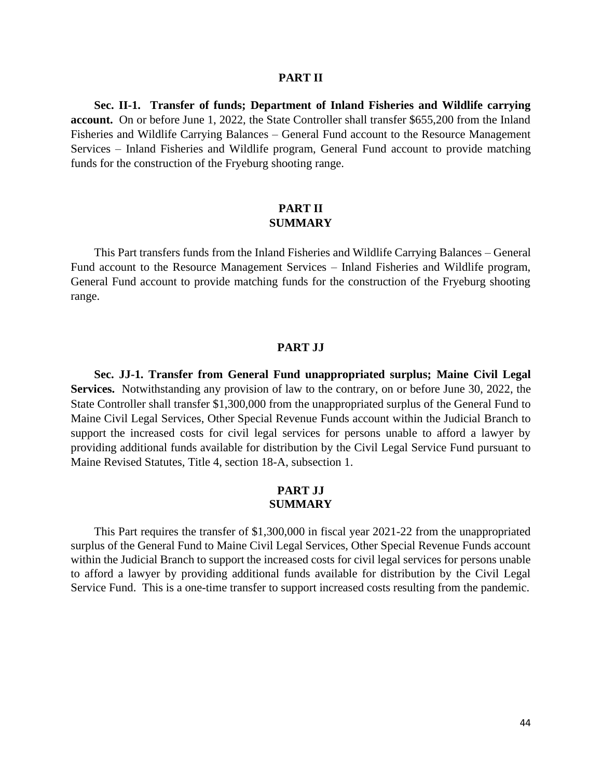#### **PART II**

**Sec. II-1. Transfer of funds; Department of Inland Fisheries and Wildlife carrying account.** On or before June 1, 2022, the State Controller shall transfer \$655,200 from the Inland Fisheries and Wildlife Carrying Balances – General Fund account to the Resource Management Services – Inland Fisheries and Wildlife program, General Fund account to provide matching funds for the construction of the Fryeburg shooting range.

## **PART II SUMMARY**

This Part transfers funds from the Inland Fisheries and Wildlife Carrying Balances – General Fund account to the Resource Management Services – Inland Fisheries and Wildlife program, General Fund account to provide matching funds for the construction of the Fryeburg shooting range.

### **PART JJ**

**Sec. JJ-1. Transfer from General Fund unappropriated surplus; Maine Civil Legal Services.** Notwithstanding any provision of law to the contrary, on or before June 30, 2022, the State Controller shall transfer \$1,300,000 from the unappropriated surplus of the General Fund to Maine Civil Legal Services, Other Special Revenue Funds account within the Judicial Branch to support the increased costs for civil legal services for persons unable to afford a lawyer by providing additional funds available for distribution by the Civil Legal Service Fund pursuant to Maine Revised Statutes, Title 4, section 18-A, subsection 1.

## **PART JJ SUMMARY**

This Part requires the transfer of \$1,300,000 in fiscal year 2021-22 from the unappropriated surplus of the General Fund to Maine Civil Legal Services, Other Special Revenue Funds account within the Judicial Branch to support the increased costs for civil legal services for persons unable to afford a lawyer by providing additional funds available for distribution by the Civil Legal Service Fund. This is a one-time transfer to support increased costs resulting from the pandemic.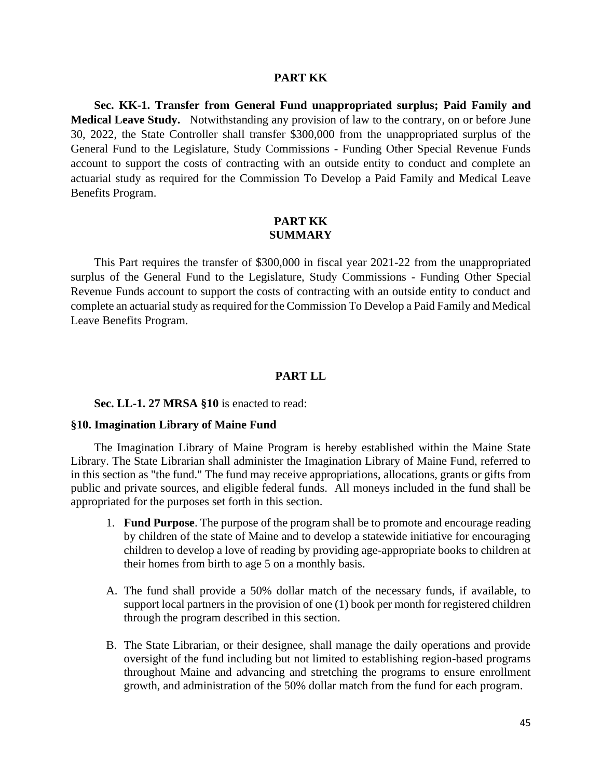### **PART KK**

**Sec. KK-1. Transfer from General Fund unappropriated surplus; Paid Family and Medical Leave Study.** Notwithstanding any provision of law to the contrary, on or before June 30, 2022, the State Controller shall transfer \$300,000 from the unappropriated surplus of the General Fund to the Legislature, Study Commissions - Funding Other Special Revenue Funds account to support the costs of contracting with an outside entity to conduct and complete an actuarial study as required for the Commission To Develop a Paid Family and Medical Leave Benefits Program.

## **PART KK SUMMARY**

This Part requires the transfer of \$300,000 in fiscal year 2021-22 from the unappropriated surplus of the General Fund to the Legislature, Study Commissions - Funding Other Special Revenue Funds account to support the costs of contracting with an outside entity to conduct and complete an actuarial study as required for the Commission To Develop a Paid Family and Medical Leave Benefits Program.

#### **PART LL**

#### **Sec. LL-1. 27 MRSA §10** is enacted to read:

#### **§10. Imagination Library of Maine Fund**

The Imagination Library of Maine Program is hereby established within the Maine State Library. The State Librarian shall administer the Imagination Library of Maine Fund, referred to in this section as "the fund." The fund may receive appropriations, allocations, grants or gifts from public and private sources, and eligible federal funds. All moneys included in the fund shall be appropriated for the purposes set forth in this section.

- 1. **Fund Purpose**. The purpose of the program shall be to promote and encourage reading by children of the state of Maine and to develop a statewide initiative for encouraging children to develop a love of reading by providing age-appropriate books to children at their homes from birth to age 5 on a monthly basis.
- A. The fund shall provide a 50% dollar match of the necessary funds, if available, to support local partners in the provision of one (1) book per month for registered children through the program described in this section.
- B. The State Librarian, or their designee, shall manage the daily operations and provide oversight of the fund including but not limited to establishing region-based programs throughout Maine and advancing and stretching the programs to ensure enrollment growth, and administration of the 50% dollar match from the fund for each program.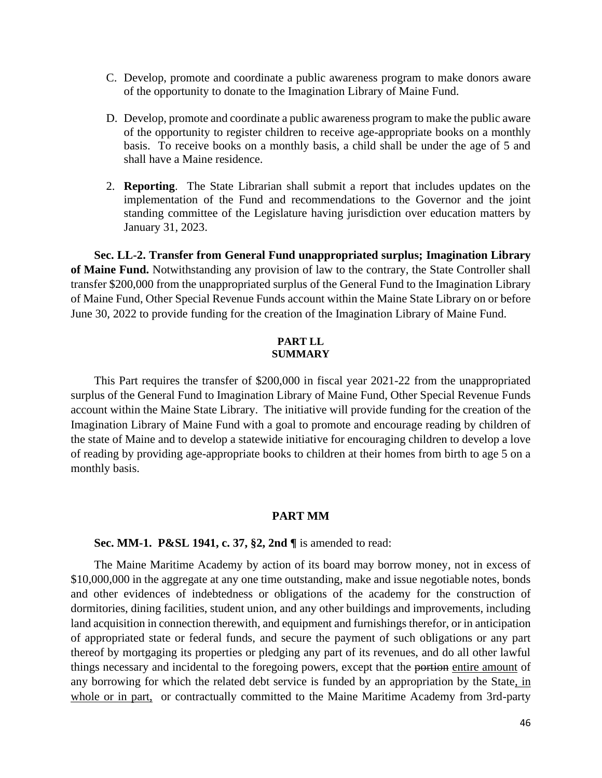- C. Develop, promote and coordinate a public awareness program to make donors aware of the opportunity to donate to the Imagination Library of Maine Fund.
- D. Develop, promote and coordinate a public awareness program to make the public aware of the opportunity to register children to receive age-appropriate books on a monthly basis. To receive books on a monthly basis, a child shall be under the age of 5 and shall have a Maine residence.
- 2. **Reporting**. The State Librarian shall submit a report that includes updates on the implementation of the Fund and recommendations to the Governor and the joint standing committee of the Legislature having jurisdiction over education matters by January 31, 2023.

**Sec. LL-2. Transfer from General Fund unappropriated surplus; Imagination Library of Maine Fund.** Notwithstanding any provision of law to the contrary, the State Controller shall transfer \$200,000 from the unappropriated surplus of the General Fund to the Imagination Library of Maine Fund, Other Special Revenue Funds account within the Maine State Library on or before June 30, 2022 to provide funding for the creation of the Imagination Library of Maine Fund.

### **PART LL SUMMARY**

This Part requires the transfer of \$200,000 in fiscal year 2021-22 from the unappropriated surplus of the General Fund to Imagination Library of Maine Fund, Other Special Revenue Funds account within the Maine State Library. The initiative will provide funding for the creation of the Imagination Library of Maine Fund with a goal to promote and encourage reading by children of the state of Maine and to develop a statewide initiative for encouraging children to develop a love of reading by providing age-appropriate books to children at their homes from birth to age 5 on a monthly basis.

## **PART MM**

#### **Sec. MM-1. P&SL 1941, c. 37, §2, 2nd ¶** is amended to read:

The Maine Maritime Academy by action of its board may borrow money, not in excess of \$10,000,000 in the aggregate at any one time outstanding, make and issue negotiable notes, bonds and other evidences of indebtedness or obligations of the academy for the construction of dormitories, dining facilities, student union, and any other buildings and improvements, including land acquisition in connection therewith, and equipment and furnishings therefor, or in anticipation of appropriated state or federal funds, and secure the payment of such obligations or any part thereof by mortgaging its properties or pledging any part of its revenues, and do all other lawful things necessary and incidental to the foregoing powers, except that the portion entire amount of any borrowing for which the related debt service is funded by an appropriation by the State, in whole or in part, or contractually committed to the Maine Maritime Academy from 3rd-party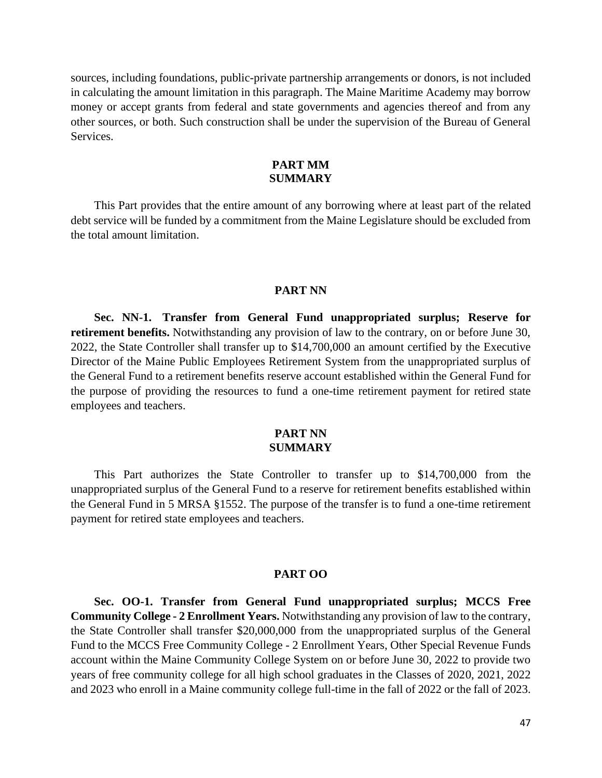sources, including foundations, public-private partnership arrangements or donors, is not included in calculating the amount limitation in this paragraph. The Maine Maritime Academy may borrow money or accept grants from federal and state governments and agencies thereof and from any other sources, or both. Such construction shall be under the supervision of the Bureau of General Services.

## **PART MM SUMMARY**

This Part provides that the entire amount of any borrowing where at least part of the related debt service will be funded by a commitment from the Maine Legislature should be excluded from the total amount limitation.

#### **PART NN**

**Sec. NN-1. Transfer from General Fund unappropriated surplus; Reserve for retirement benefits.** Notwithstanding any provision of law to the contrary, on or before June 30, 2022, the State Controller shall transfer up to \$14,700,000 an amount certified by the Executive Director of the Maine Public Employees Retirement System from the unappropriated surplus of the General Fund to a retirement benefits reserve account established within the General Fund for the purpose of providing the resources to fund a one-time retirement payment for retired state employees and teachers.

## **PART NN SUMMARY**

This Part authorizes the State Controller to transfer up to \$14,700,000 from the unappropriated surplus of the General Fund to a reserve for retirement benefits established within the General Fund in 5 MRSA §1552. The purpose of the transfer is to fund a one-time retirement payment for retired state employees and teachers.

#### **PART OO**

**Sec. OO-1. Transfer from General Fund unappropriated surplus; MCCS Free Community College - 2 Enrollment Years.** Notwithstanding any provision of law to the contrary, the State Controller shall transfer \$20,000,000 from the unappropriated surplus of the General Fund to the MCCS Free Community College - 2 Enrollment Years, Other Special Revenue Funds account within the Maine Community College System on or before June 30, 2022 to provide two years of free community college for all high school graduates in the Classes of 2020, 2021, 2022 and 2023 who enroll in a Maine community college full-time in the fall of 2022 or the fall of 2023.